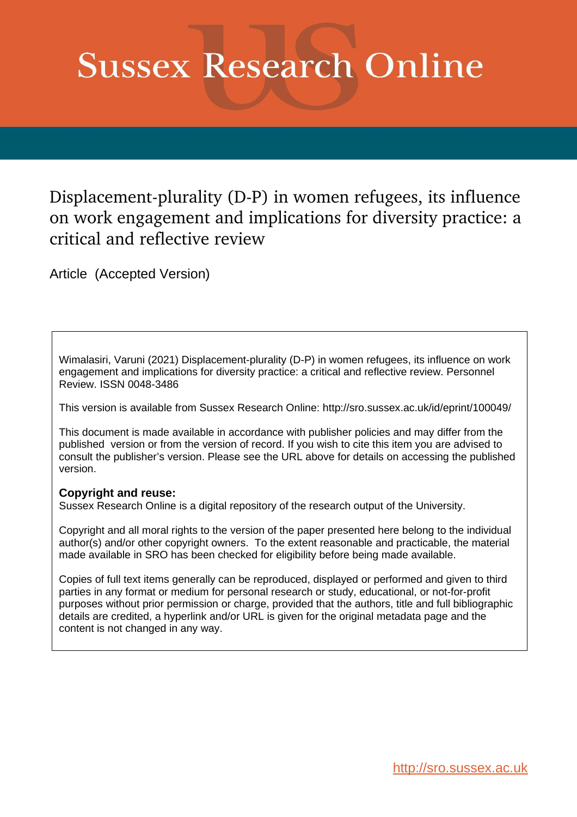# **Sussex Research Online**

Displacement-plurality (D-P) in women refugees, its influence on work engagement and implications for diversity practice: a critical and reflective review

Article (Accepted Version)

Wimalasiri, Varuni (2021) Displacement-plurality (D-P) in women refugees, its influence on work engagement and implications for diversity practice: a critical and reflective review. Personnel Review. ISSN 0048-3486

This version is available from Sussex Research Online: http://sro.sussex.ac.uk/id/eprint/100049/

This document is made available in accordance with publisher policies and may differ from the published version or from the version of record. If you wish to cite this item you are advised to consult the publisher's version. Please see the URL above for details on accessing the published version.

## **Copyright and reuse:**

Sussex Research Online is a digital repository of the research output of the University.

Copyright and all moral rights to the version of the paper presented here belong to the individual author(s) and/or other copyright owners. To the extent reasonable and practicable, the material made available in SRO has been checked for eligibility before being made available.

Copies of full text items generally can be reproduced, displayed or performed and given to third parties in any format or medium for personal research or study, educational, or not-for-profit purposes without prior permission or charge, provided that the authors, title and full bibliographic details are credited, a hyperlink and/or URL is given for the original metadata page and the content is not changed in any way.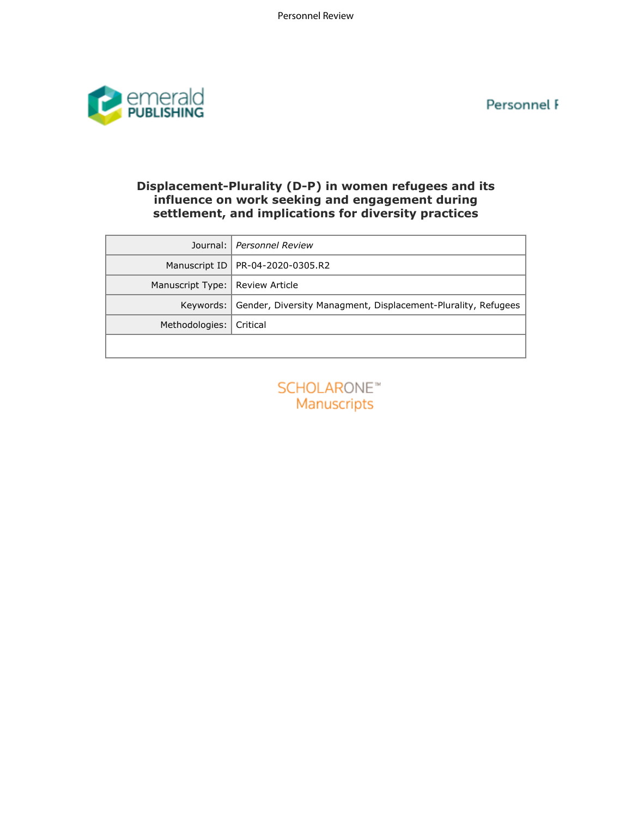Personnel F



# **Displacement-Plurality (D-P) in women refugees and its influence on work seeking and engagement during settlement, and implications for diversity practices**

| Journal:                          | Personnel Review                                              |
|-----------------------------------|---------------------------------------------------------------|
| Manuscript ID                     | PR-04-2020-0305.R2                                            |
| Manuscript Type:                  | <b>Review Article</b>                                         |
| Keywords:                         | Gender, Diversity Managment, Displacement-Plurality, Refugees |
| Methodologies:                    | Critical                                                      |
|                                   |                                                               |
| <b>SCHOLARONE™</b><br>Manuscripts |                                                               |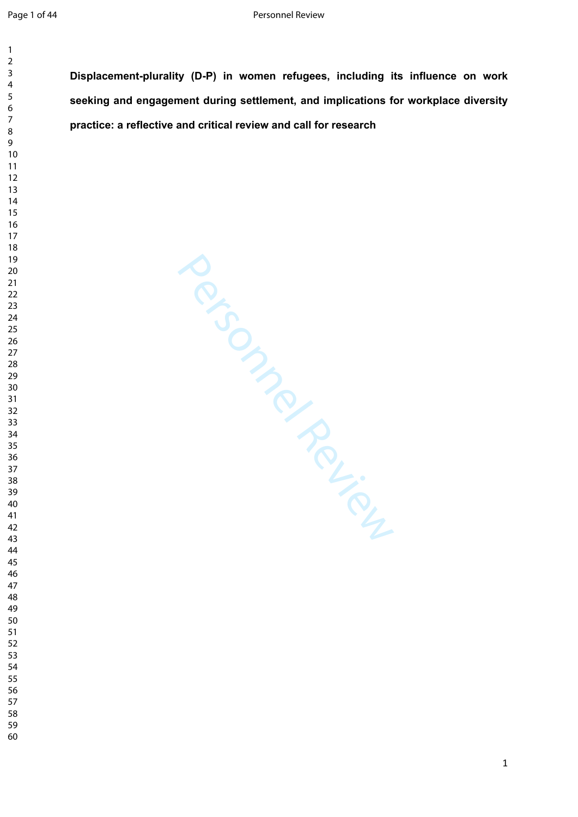**Displacement-plurality (D-P) in women refugees, including its influence on work seeking and engagement during settlement, and implications for workplace diversity practice: a reflective and critical review and call for research**

Personnel Review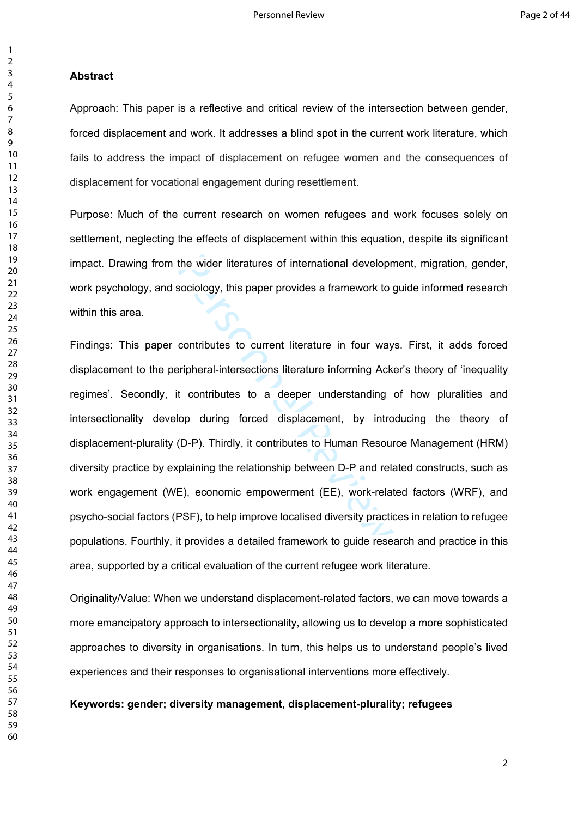#### **Abstract**

Approach: This paper is a reflective and critical review of the intersection between gender, forced displacement and work. It addresses a blind spot in the current work literature, which fails to address the impact of displacement on refugee women and the consequences of displacement for vocational engagement during resettlement.

Purpose: Much of the current research on women refugees and work focuses solely on settlement, neglecting the effects of displacement within this equation, despite its significant impact. Drawing from the wider literatures of international development, migration, gender, work psychology, and sociology, this paper provides a framework to guide informed research within this area.

the wider literatures of international developn<br>sociology, this paper provides a framework to g<br>contributes to current literature in four way<br>pripheral-intersections literature informing Ack<br>t contributes to a deeper under Findings: This paper contributes to current literature in four ways. First, it adds forced displacement to the peripheral-intersections literature informing Acker's theory of 'inequality regimes'. Secondly, it contributes to a deeper understanding of how pluralities and intersectionality develop during forced displacement, by introducing the theory of displacement-plurality (D-P). Thirdly, it contributes to Human Resource Management (HRM) diversity practice by explaining the relationship between D-P and related constructs, such as work engagement (WE), economic empowerment (EE), work-related factors (WRF), and psycho-social factors (PSF), to help improve localised diversity practices in relation to refugee populations. Fourthly, it provides a detailed framework to guide research and practice in this area, supported by a critical evaluation of the current refugee work literature.

Originality/Value: When we understand displacement-related factors, we can move towards a more emancipatory approach to intersectionality, allowing us to develop a more sophisticated approaches to diversity in organisations. In turn, this helps us to understand people's lived experiences and their responses to organisational interventions more effectively.

**Keywords: gender; diversity management, displacement-plurality; refugees**

 $\mathbf{1}$  $\overline{2}$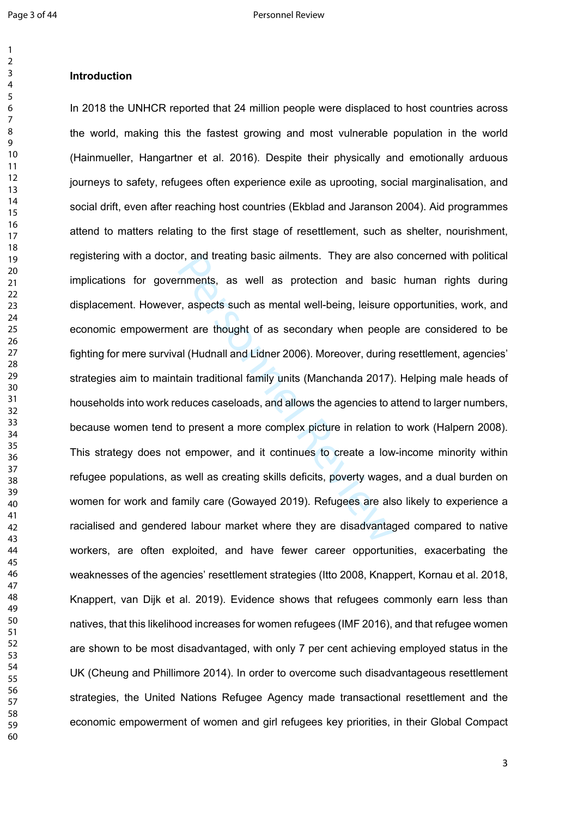## $\overline{2}$  $\overline{3}$  $\overline{4}$  $\overline{7}$

## **Introduction**

or, and treating basic aliments. They are also<br>rimments, as well as protection and basic<br>r, aspects such as mental well-being, leisure<br>ent are thought of as secondary when peopl<br>al (Hudnall and Lidner 2006). Moreover, duri In 2018 the UNHCR reported that 24 million people were displaced to host countries across the world, making this the fastest growing and most vulnerable population in the world (Hainmueller, Hangartner et al. 2016). Despite their physically and emotionally arduous journeys to safety, refugees often experience exile as uprooting, social marginalisation, and social drift, even after reaching host countries (Ekblad and Jaranson 2004). Aid programmes attend to matters relating to the first stage of resettlement, such as shelter, nourishment, registering with a doctor, and treating basic ailments. They are also concerned with political implications for governments, as well as protection and basic human rights during displacement. However, aspects such as mental well-being, leisure opportunities, work, and economic empowerment are thought of as secondary when people are considered to be fighting for mere survival (Hudnall and Lidner 2006). Moreover, during resettlement, agencies' strategies aim to maintain traditional family units (Manchanda 2017). Helping male heads of households into work reduces caseloads, and allows the agencies to attend to larger numbers, because women tend to present a more complex picture in relation to work (Halpern 2008). This strategy does not empower, and it continues to create a low-income minority within refugee populations, as well as creating skills deficits, poverty wages, and a dual burden on women for work and family care (Gowayed 2019). Refugees are also likely to experience a racialised and gendered labour market where they are disadvantaged compared to native workers, are often exploited, and have fewer career opportunities, exacerbating the weaknesses of the agencies' resettlement strategies (Itto 2008, Knappert, Kornau et al. 2018, Knappert, van Dijk et al. 2019). Evidence shows that refugees commonly earn less than natives, that this likelihood increases for women refugees (IMF 2016), and that refugee women are shown to be most disadvantaged, with only 7 per cent achieving employed status in the UK (Cheung and Phillimore 2014). In order to overcome such disadvantageous resettlement strategies, the United Nations Refugee Agency made transactional resettlement and the economic empowerment of women and girl refugees key priorities, in their Global Compact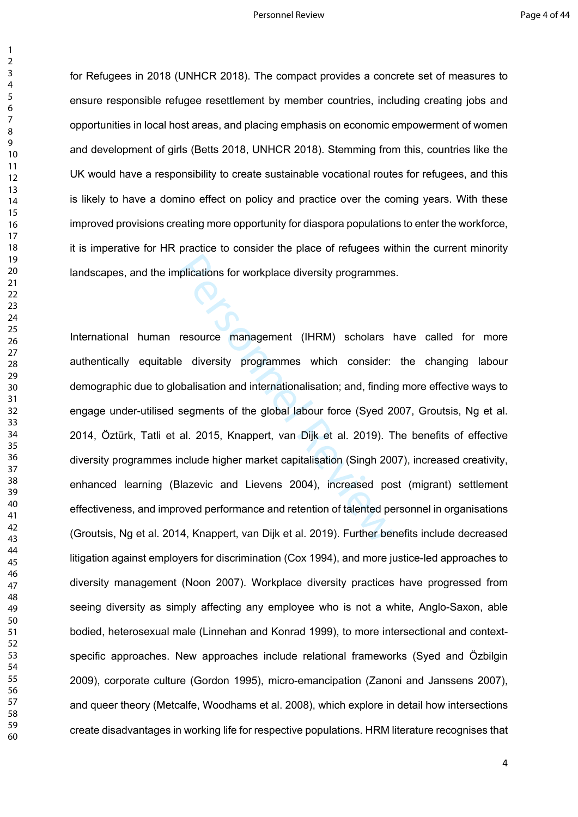$\mathbf{1}$ 

for Refugees in 2018 (UNHCR 2018). The compact provides a concrete set of measures to ensure responsible refugee resettlement by member countries, including creating jobs and opportunities in local host areas, and placing emphasis on economic empowerment of women and development of girls (Betts 2018, UNHCR 2018). Stemming from this, countries like the UK would have a responsibility to create sustainable vocational routes for refugees, and this is likely to have a domino effect on policy and practice over the coming years. With these improved provisions creating more opportunity for diaspora populations to enter the workforce, it is imperative for HR practice to consider the place of refugees within the current minority landscapes, and the implications for workplace diversity programmes.

indexions for workplace diversity programmes<br>resource management (IHRM) scholars<br>e diversity programmes which consider:<br>balisation and internationalisation; and, finding<br>segments of the global labour force (Syed 2<br>al. 2015 International human resource management (IHRM) scholars have called for more authentically equitable diversity programmes which consider: the changing labour demographic due to globalisation and internationalisation; and, finding more effective ways to engage under-utilised segments of the global labour force (Syed 2007, Groutsis, Ng et al. 2014, Öztürk, Tatli et al. 2015, Knappert, van Dijk et al. 2019). The benefits of effective diversity programmes include higher market capitalisation (Singh 2007), increased creativity, enhanced learning (Blazevic and Lievens 2004), increased post (migrant) settlement effectiveness, and improved performance and retention of talented personnel in organisations (Groutsis, Ng et al. 2014, Knappert, van Dijk et al. 2019). Further benefits include decreased litigation against employers for discrimination (Cox 1994), and more justice-led approaches to diversity management (Noon 2007). Workplace diversity practices have progressed from seeing diversity as simply affecting any employee who is not a white, Anglo-Saxon, able bodied, heterosexual male (Linnehan and Konrad 1999), to more intersectional and contextspecific approaches. New approaches include relational frameworks (Syed and Özbilgin 2009), corporate culture (Gordon 1995), micro-emancipation (Zanoni and Janssens 2007), and queer theory (Metcalfe, Woodhams et al. 2008), which explore in detail how intersections create disadvantages in working life for respective populations. HRM literature recognises that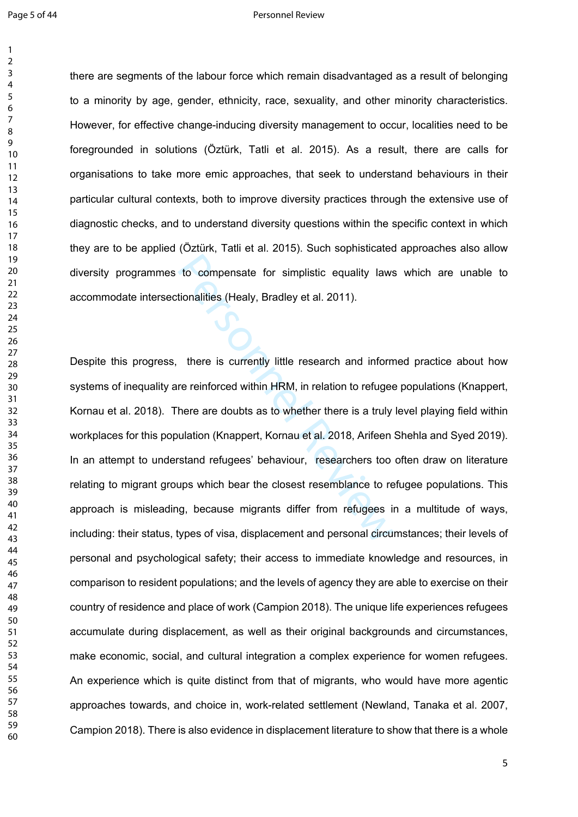#### Page 5 of 44 Personnel Review

there are segments of the labour force which remain disadvantaged as a result of belonging to a minority by age, gender, ethnicity, race, sexuality, and other minority characteristics. However, for effective change-inducing diversity management to occur, localities need to be foregrounded in solutions (Öztürk, Tatli et al. 2015). As a result, there are calls for organisations to take more emic approaches, that seek to understand behaviours in their particular cultural contexts, both to improve diversity practices through the extensive use of diagnostic checks, and to understand diversity questions within the specific context in which they are to be applied (Öztürk, Tatli et al. 2015). Such sophisticated approaches also allow diversity programmes to compensate for simplistic equality laws which are unable to accommodate intersectionalities (Healy, Bradley et al. 2011).

to compensate for simplistic equality laws<br>tionalities (Healy, Bradley et al. 2011).<br>there is currently little research and inform<br>re reinforced within HRM, in relation to refugee<br>here are doubts as to whether there is a t Despite this progress, there is currently little research and informed practice about how systems of inequality are reinforced within HRM, in relation to refugee populations (Knappert, Kornau et al. 2018). There are doubts as to whether there is a truly level playing field within workplaces for this population (Knappert, Kornau et al. 2018, Arifeen Shehla and Syed 2019). In an attempt to understand refugees' behaviour, researchers too often draw on literature relating to migrant groups which bear the closest resemblance to refugee populations. This approach is misleading, because migrants differ from refugees in a multitude of ways, including: their status, types of visa, displacement and personal circumstances; their levels of personal and psychological safety; their access to immediate knowledge and resources, in comparison to resident populations; and the levels of agency they are able to exercise on their country of residence and place of work (Campion 2018). The unique life experiences refugees accumulate during displacement, as well as their original backgrounds and circumstances, make economic, social, and cultural integration a complex experience for women refugees. An experience which is quite distinct from that of migrants, who would have more agentic approaches towards, and choice in, work-related settlement (Newland, Tanaka et al. 2007, Campion 2018). There is also evidence in displacement literature to show that there is a whole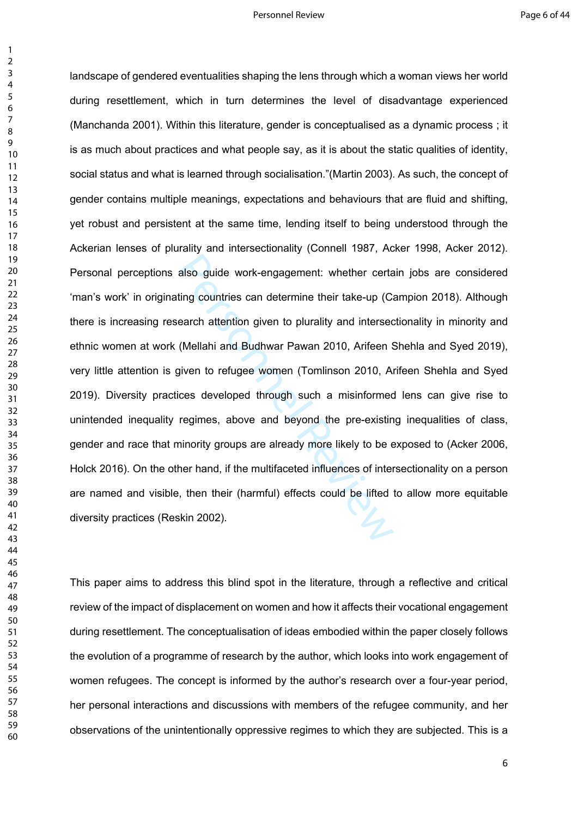#### Personnel Review **Page 6 of 44**

 $\mathbf{1}$ 

also guide work-engagement: whether certating countries can determine their take-up (C:<br>earch attention given to plurality and intersed<br>(Mellahi and Budhwar Pawan 2010, Arifeen §<br>given to refugee women (Tomlinson 2010, Ari landscape of gendered eventualities shaping the lens through which a woman views her world during resettlement, which in turn determines the level of disadvantage experienced (Manchanda 2001). Within this literature, gender is conceptualised as a dynamic process ; it is as much about practices and what people say, as it is about the static qualities of identity, social status and what is learned through socialisation."(Martin 2003). As such, the concept of gender contains multiple meanings, expectations and behaviours that are fluid and shifting, yet robust and persistent at the same time, lending itself to being understood through the Ackerian lenses of plurality and intersectionality (Connell 1987, Acker 1998, Acker 2012). Personal perceptions also guide work-engagement: whether certain jobs are considered 'man's work' in originating countries can determine their take-up (Campion 2018). Although there is increasing research attention given to plurality and intersectionality in minority and ethnic women at work (Mellahi and Budhwar Pawan 2010, Arifeen Shehla and Syed 2019), very little attention is given to refugee women (Tomlinson 2010, Arifeen Shehla and Syed 2019). Diversity practices developed through such a misinformed lens can give rise to unintended inequality regimes, above and beyond the pre-existing inequalities of class, gender and race that minority groups are already more likely to be exposed to (Acker 2006, Holck 2016). On the other hand, if the multifaceted influences of intersectionality on a person are named and visible, then their (harmful) effects could be lifted to allow more equitable diversity practices (Reskin 2002).

This paper aims to address this blind spot in the literature, through a reflective and critical review of the impact of displacement on women and how it affects their vocational engagement during resettlement. The conceptualisation of ideas embodied within the paper closely follows the evolution of a programme of research by the author, which looks into work engagement of women refugees. The concept is informed by the author's research over a four-year period, her personal interactions and discussions with members of the refugee community, and her observations of the unintentionally oppressive regimes to which they are subjected. This is a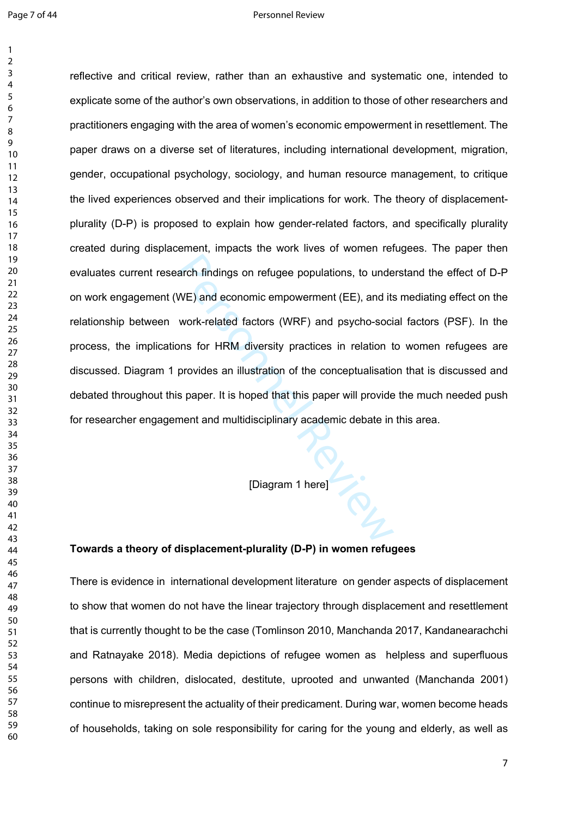#### Page 7 of 44 Personnel Review

arch findings on refugee populations, to unde<br>
WE) and economic empowerment (EE), and its<br>
work-related factors (WRF) and psycho-soci<br>
ons for HRM diversity practices in relation t<br>
provides an illustration of the conceptu reflective and critical review, rather than an exhaustive and systematic one, intended to explicate some of the author's own observations, in addition to those of other researchers and practitioners engaging with the area of women's economic empowerment in resettlement. The paper draws on a diverse set of literatures, including international development, migration, gender, occupational psychology, sociology, and human resource management, to critique the lived experiences observed and their implications for work. The theory of displacementplurality (D-P) is proposed to explain how gender-related factors, and specifically plurality created during displacement, impacts the work lives of women refugees. The paper then evaluates current research findings on refugee populations, to understand the effect of D-P on work engagement (WE) and economic empowerment (EE), and its mediating effect on the relationship between work-related factors (WRF) and psycho-social factors (PSF). In the process, the implications for HRM diversity practices in relation to women refugees are discussed. Diagram 1 provides an illustration of the conceptualisation that is discussed and debated throughout this paper. It is hoped that this paper will provide the much needed push for researcher engagement and multidisciplinary academic debate in this area.

[Diagram 1 here]

# **Towards a theory of displacement-plurality (D-P) in women refugees**

There is evidence in international development literature on gender aspects of displacement to show that women do not have the linear trajectory through displacement and resettlement that is currently thought to be the case (Tomlinson 2010, Manchanda 2017, Kandanearachchi and Ratnayake 2018). Media depictions of refugee women as helpless and superfluous persons with children, dislocated, destitute, uprooted and unwanted (Manchanda 2001) continue to misrepresent the actuality of their predicament. During war, women become heads of households, taking on sole responsibility for caring for the young and elderly, as well as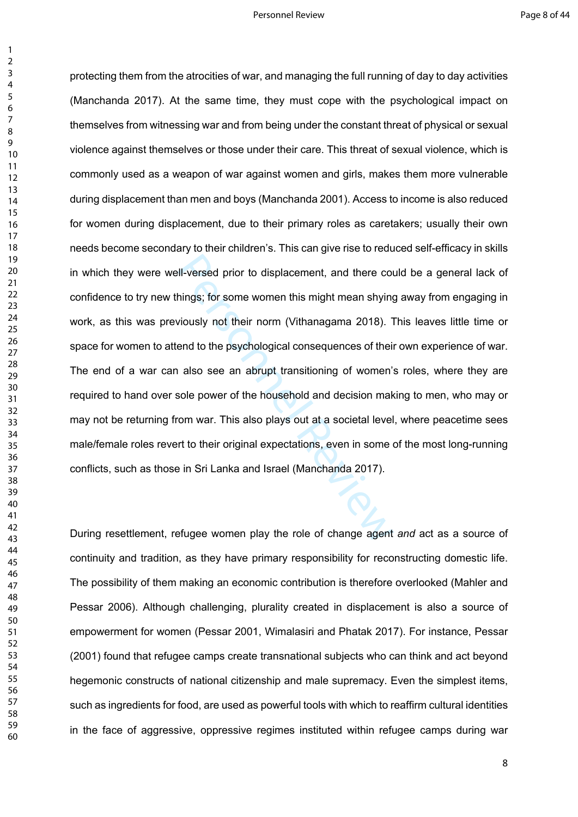$\mathbf{1}$ 

II-versed prior to displacement, and there complisions; for some women this might mean shying<br>viously not their norm (Vithanagama 2018). T<br>end to the psychological consequences of their<br>also see an abrupt transitioning of protecting them from the atrocities of war, and managing the full running of day to day activities (Manchanda 2017). At the same time, they must cope with the psychological impact on themselves from witnessing war and from being under the constant threat of physical or sexual violence against themselves or those under their care. This threat of sexual violence, which is commonly used as a weapon of war against women and girls, makes them more vulnerable during displacement than men and boys (Manchanda 2001). Access to income is also reduced for women during displacement, due to their primary roles as caretakers; usually their own needs become secondary to their children's. This can give rise to reduced self-efficacy in skills in which they were well-versed prior to displacement, and there could be a general lack of confidence to try new things; for some women this might mean shying away from engaging in work, as this was previously not their norm (Vithanagama 2018). This leaves little time or space for women to attend to the psychological consequences of their own experience of war. The end of a war can also see an abrupt transitioning of women's roles, where they are required to hand over sole power of the household and decision making to men, who may or may not be returning from war. This also plays out at a societal level, where peacetime sees male/female roles revert to their original expectations, even in some of the most long-running conflicts, such as those in Sri Lanka and Israel (Manchanda 2017).

During resettlement, refugee women play the role of change agent *and* act as a source of continuity and tradition, as they have primary responsibility for reconstructing domestic life. The possibility of them making an economic contribution is therefore overlooked (Mahler and Pessar 2006). Although challenging, plurality created in displacement is also a source of empowerment for women (Pessar 2001, Wimalasiri and Phatak 2017). For instance, Pessar (2001) found that refugee camps create transnational subjects who can think and act beyond hegemonic constructs of national citizenship and male supremacy. Even the simplest items, such as ingredients for food, are used as powerful tools with which to reaffirm cultural identities in the face of aggressive, oppressive regimes instituted within refugee camps during war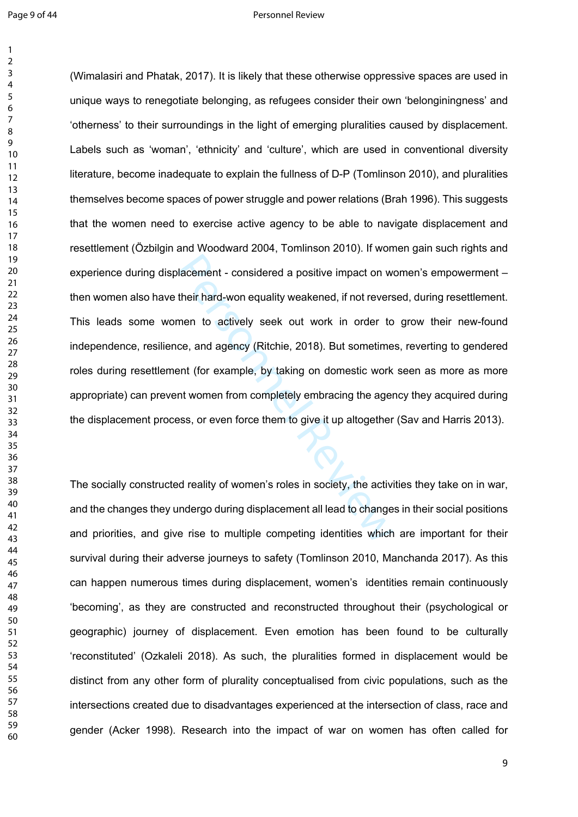#### Page 9 of 44 Personnel Review

lacement - considered a positive impact on w<br>their hard-won equality weakened, if not revers<br>nen to actively seek out work in order to<br>ce, and agency (Ritchie, 2018). But sometime<br>ent (for example, by taking on domestic wo (Wimalasiri and Phatak, 2017). It is likely that these otherwise oppressive spaces are used in unique ways to renegotiate belonging, as refugees consider their own 'belonginingness' and 'otherness' to their surroundings in the light of emerging pluralities caused by displacement. Labels such as 'woman', 'ethnicity' and 'culture', which are used in conventional diversity literature, become inadequate to explain the fullness of D-P (Tomlinson 2010), and pluralities themselves become spaces of power struggle and power relations (Brah 1996). This suggests that the women need to exercise active agency to be able to navigate displacement and resettlement (Özbilgin and Woodward 2004, Tomlinson 2010). If women gain such rights and experience during displacement - considered a positive impact on women's empowerment – then women also have their hard-won equality weakened, if not reversed, during resettlement. This leads some women to actively seek out work in order to grow their new-found independence, resilience, and agency (Ritchie, 2018). But sometimes, reverting to gendered roles during resettlement (for example, by taking on domestic work seen as more as more appropriate) can prevent women from completely embracing the agency they acquired during the displacement process, or even force them to give it up altogether (Sav and Harris 2013).

The socially constructed reality of women's roles in society, the activities they take on in war, and the changes they undergo during displacement all lead to changes in their social positions and priorities, and give rise to multiple competing identities which are important for their survival during their adverse journeys to safety (Tomlinson 2010, Manchanda 2017). As this can happen numerous times during displacement, women's identities remain continuously 'becoming', as they are constructed and reconstructed throughout their (psychological or geographic) journey of displacement. Even emotion has been found to be culturally 'reconstituted' (Ozkaleli 2018). As such, the pluralities formed in displacement would be distinct from any other form of plurality conceptualised from civic populations, such as the intersections created due to disadvantages experienced at the intersection of class, race and gender (Acker 1998). Research into the impact of war on women has often called for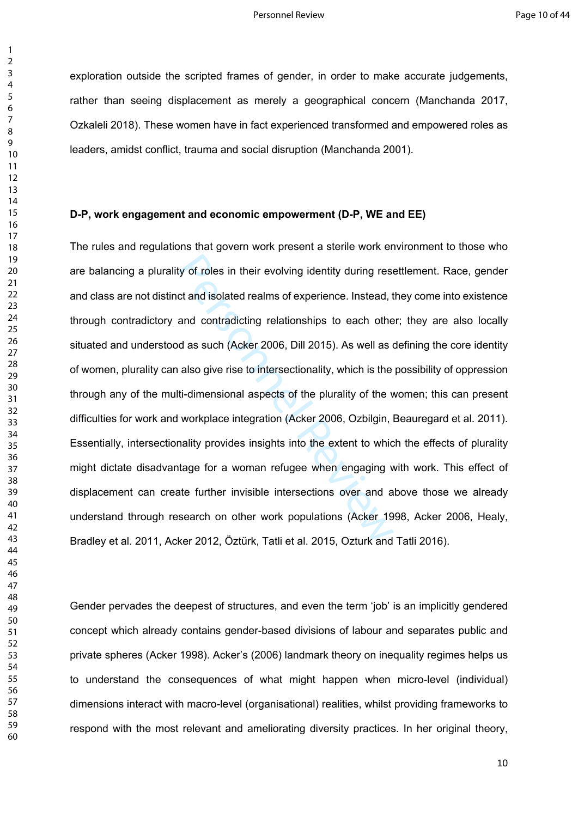exploration outside the scripted frames of gender, in order to make accurate judgements, rather than seeing displacement as merely a geographical concern (Manchanda 2017, Ozkaleli 2018). These women have in fact experienced transformed and empowered roles as leaders, amidst conflict, trauma and social disruption (Manchanda 2001).

## **D-P, work engagement and economic empowerment (D-P, WE and EE)**

ty of roles in their evolving identity during resect and isolated realms of experience. Instead, t<br>and contradicting relationships to each othe<br>d as such (Acker 2006, Dill 2015). As well as a<br>also give rise to intersection The rules and regulations that govern work present a sterile work environment to those who are balancing a plurality of roles in their evolving identity during resettlement. Race, gender and class are not distinct and isolated realms of experience. Instead, they come into existence through contradictory and contradicting relationships to each other; they are also locally situated and understood as such (Acker 2006, Dill 2015). As well as defining the core identity of women, plurality can also give rise to intersectionality, which is the possibility of oppression through any of the multi-dimensional aspects of the plurality of the women; this can present difficulties for work and workplace integration (Acker 2006, Ozbilgin, Beauregard et al. 2011). Essentially, intersectionality provides insights into the extent to which the effects of plurality might dictate disadvantage for a woman refugee when engaging with work. This effect of displacement can create further invisible intersections over and above those we already understand through research on other work populations (Acker 1998, Acker 2006, Healy, Bradley et al. 2011, Acker 2012, Öztürk, Tatli et al. 2015, Ozturk and Tatli 2016).

Gender pervades the deepest of structures, and even the term 'job' is an implicitly gendered concept which already contains gender-based divisions of labour and separates public and private spheres (Acker 1998). Acker's (2006) landmark theory on inequality regimes helps us to understand the consequences of what might happen when micro-level (individual) dimensions interact with macro-level (organisational) realities, whilst providing frameworks to respond with the most relevant and ameliorating diversity practices. In her original theory,

 $\mathbf{1}$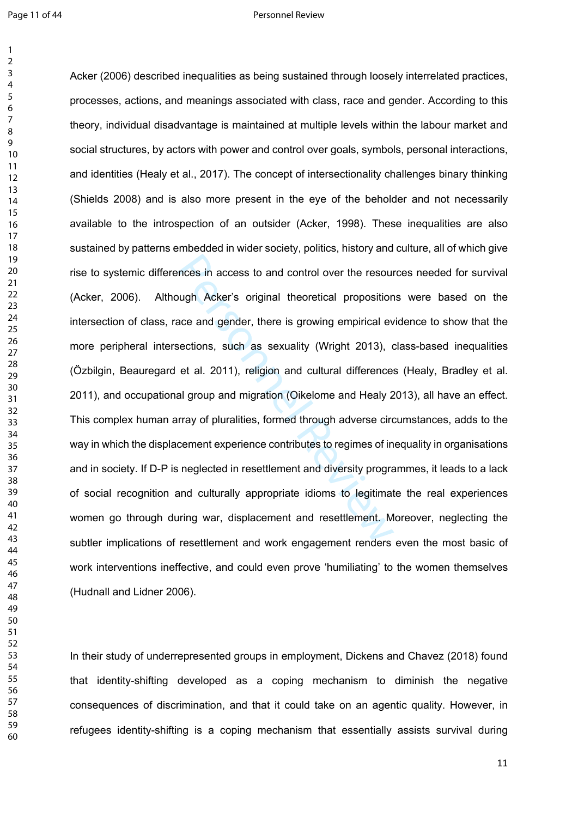#### Page 11 of 44 Personnel Review

nces in access to and control over the resound wigh Acker's original theoretical proposition<br>ace and gender, there is growing empirical evections, such as sexuality (Wright 2013), c<br>et al. 2011), religion and cultural diff Acker (2006) described inequalities as being sustained through loosely interrelated practices, processes, actions, and meanings associated with class, race and gender. According to this theory, individual disadvantage is maintained at multiple levels within the labour market and social structures, by actors with power and control over goals, symbols, personal interactions, and identities (Healy et al., 2017). The concept of intersectionality challenges binary thinking (Shields 2008) and is also more present in the eye of the beholder and not necessarily available to the introspection of an outsider (Acker, 1998). These inequalities are also sustained by patterns embedded in wider society, politics, history and culture, all of which give rise to systemic differences in access to and control over the resources needed for survival (Acker, 2006). Although Acker's original theoretical propositions were based on the intersection of class, race and gender, there is growing empirical evidence to show that the more peripheral intersections, such as sexuality (Wright 2013), class-based inequalities (Özbilgin, Beauregard et al. 2011), religion and cultural differences (Healy, Bradley et al. 2011), and occupational group and migration (Oikelome and Healy 2013), all have an effect. This complex human array of pluralities, formed through adverse circumstances, adds to the way in which the displacement experience contributes to regimes of inequality in organisations and in society. If D-P is neglected in resettlement and diversity programmes, it leads to a lack of social recognition and culturally appropriate idioms to legitimate the real experiences women go through during war, displacement and resettlement. Moreover, neglecting the subtler implications of resettlement and work engagement renders even the most basic of work interventions ineffective, and could even prove 'humiliating' to the women themselves (Hudnall and Lidner 2006).

In their study of underrepresented groups in employment, Dickens and Chavez (2018) found that identity-shifting developed as a coping mechanism to diminish the negative consequences of discrimination, and that it could take on an agentic quality. However, in refugees identity-shifting is a coping mechanism that essentially assists survival during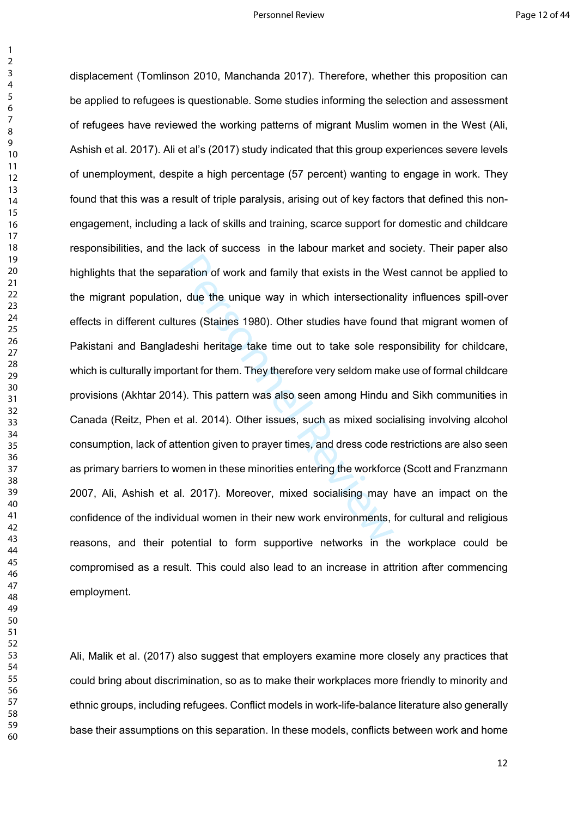$\mathbf{1}$ 

aration of work and family that exists in the Wi<br>
1, due the unique way in which intersectiona<br>
11 are unique way in which intersectiona<br>
11 are unique take time out to take sole res<br>
11 are then They therefore very seldom displacement (Tomlinson 2010, Manchanda 2017). Therefore, whether this proposition can be applied to refugees is questionable. Some studies informing the selection and assessment of refugees have reviewed the working patterns of migrant Muslim women in the West (Ali, Ashish et al. 2017). Ali et al's (2017) study indicated that this group experiences severe levels of unemployment, despite a high percentage (57 percent) wanting to engage in work. They found that this was a result of triple paralysis, arising out of key factors that defined this nonengagement, including a lack of skills and training, scarce support for domestic and childcare responsibilities, and the lack of success in the labour market and society. Their paper also highlights that the separation of work and family that exists in the West cannot be applied to the migrant population, due the unique way in which intersectionality influences spill-over effects in different cultures (Staines 1980). Other studies have found that migrant women of Pakistani and Bangladeshi heritage take time out to take sole responsibility for childcare, which is culturally important for them. They therefore very seldom make use of formal childcare provisions (Akhtar 2014). This pattern was also seen among Hindu and Sikh communities in Canada (Reitz, Phen et al. 2014). Other issues, such as mixed socialising involving alcohol consumption, lack of attention given to prayer times, and dress code restrictions are also seen as primary barriers to women in these minorities entering the workforce (Scott and Franzmann 2007, Ali, Ashish et al. 2017). Moreover, mixed socialising may have an impact on the confidence of the individual women in their new work environments, for cultural and religious reasons, and their potential to form supportive networks in the workplace could be compromised as a result. This could also lead to an increase in attrition after commencing employment.

Ali, Malik et al. (2017) also suggest that employers examine more closely any practices that could bring about discrimination, so as to make their workplaces more friendly to minority and ethnic groups, including refugees. Conflict models in work-life-balance literature also generally base their assumptions on this separation. In these models, conflicts between work and home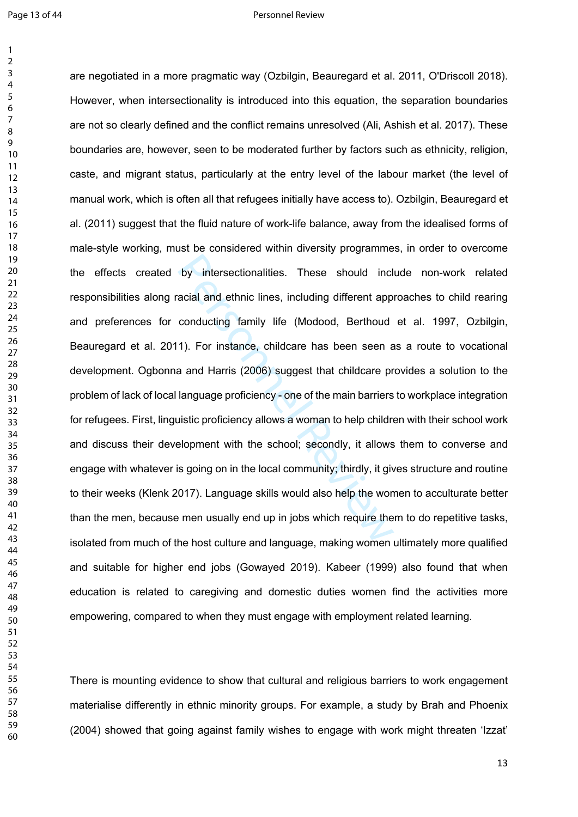#### Page 13 of 44 Personnel Review

by intersectionalities. These should incl<br>acial and ethnic lines, including different app<br>conducting family life (Modood, Berthoud<br>1). For instance, childcare has been seen a<br>a and Harris (2006) suggest that childcare pr<br>l are negotiated in a more pragmatic way (Ozbilgin, Beauregard et al. 2011, O'Driscoll 2018). However, when intersectionality is introduced into this equation, the separation boundaries are not so clearly defined and the conflict remains unresolved (Ali, Ashish et al. 2017). These boundaries are, however, seen to be moderated further by factors such as ethnicity, religion, caste, and migrant status, particularly at the entry level of the labour market (the level of manual work, which is often all that refugees initially have access to). Ozbilgin, Beauregard et al. (2011) suggest that the fluid nature of work-life balance, away from the idealised forms of male-style working, must be considered within diversity programmes, in order to overcome the effects created by intersectionalities. These should include non-work related responsibilities along racial and ethnic lines, including different approaches to child rearing and preferences for conducting family life (Modood, Berthoud et al. 1997, Ozbilgin, Beauregard et al. 2011). For instance, childcare has been seen as a route to vocational development. Ogbonna and Harris (2006) suggest that childcare provides a solution to the problem of lack of local language proficiency - one of the main barriers to workplace integration for refugees. First, linguistic proficiency allows a woman to help children with their school work and discuss their development with the school; secondly, it allows them to converse and engage with whatever is going on in the local community; thirdly, it gives structure and routine to their weeks (Klenk 2017). Language skills would also help the women to acculturate better than the men, because men usually end up in jobs which require them to do repetitive tasks, isolated from much of the host culture and language, making women ultimately more qualified and suitable for higher end jobs (Gowayed 2019). Kabeer (1999) also found that when education is related to caregiving and domestic duties women find the activities more empowering, compared to when they must engage with employment related learning.

There is mounting evidence to show that cultural and religious barriers to work engagement materialise differently in ethnic minority groups. For example, a study by Brah and Phoenix (2004) showed that going against family wishes to engage with work might threaten 'Izzat'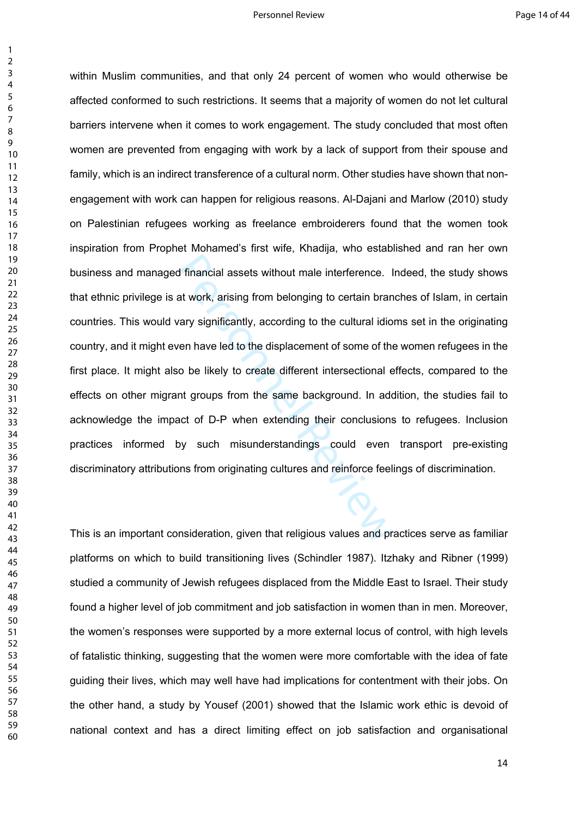$\mathbf{1}$ 

d financial assets without male interference. I<br>at work, arising from belonging to certain brancary significantly, according to the cultural idio<br>ven have led to the displacement of some of the<br>o be likely to create differ within Muslim communities, and that only 24 percent of women who would otherwise be affected conformed to such restrictions. It seems that a majority of women do not let cultural barriers intervene when it comes to work engagement. The study concluded that most often women are prevented from engaging with work by a lack of support from their spouse and family, which is an indirect transference of a cultural norm. Other studies have shown that nonengagement with work can happen for religious reasons. Al-Dajani and Marlow (2010) study on Palestinian refugees working as freelance embroiderers found that the women took inspiration from Prophet Mohamed's first wife, Khadija, who established and ran her own business and managed financial assets without male interference. Indeed, the study shows that ethnic privilege is at work, arising from belonging to certain branches of Islam, in certain countries. This would vary significantly, according to the cultural idioms set in the originating country, and it might even have led to the displacement of some of the women refugees in the first place. It might also be likely to create different intersectional effects, compared to the effects on other migrant groups from the same background. In addition, the studies fail to acknowledge the impact of D-P when extending their conclusions to refugees. Inclusion practices informed by such misunderstandings could even transport pre-existing discriminatory attributions from originating cultures and reinforce feelings of discrimination.

This is an important consideration, given that religious values and practices serve as familiar platforms on which to build transitioning lives (Schindler 1987). Itzhaky and Ribner (1999) studied a community of Jewish refugees displaced from the Middle East to Israel. Their study found a higher level of job commitment and job satisfaction in women than in men. Moreover, the women's responses were supported by a more external locus of control, with high levels of fatalistic thinking, suggesting that the women were more comfortable with the idea of fate guiding their lives, which may well have had implications for contentment with their jobs. On the other hand, a study by Yousef (2001) showed that the Islamic work ethic is devoid of national context and has a direct limiting effect on job satisfaction and organisational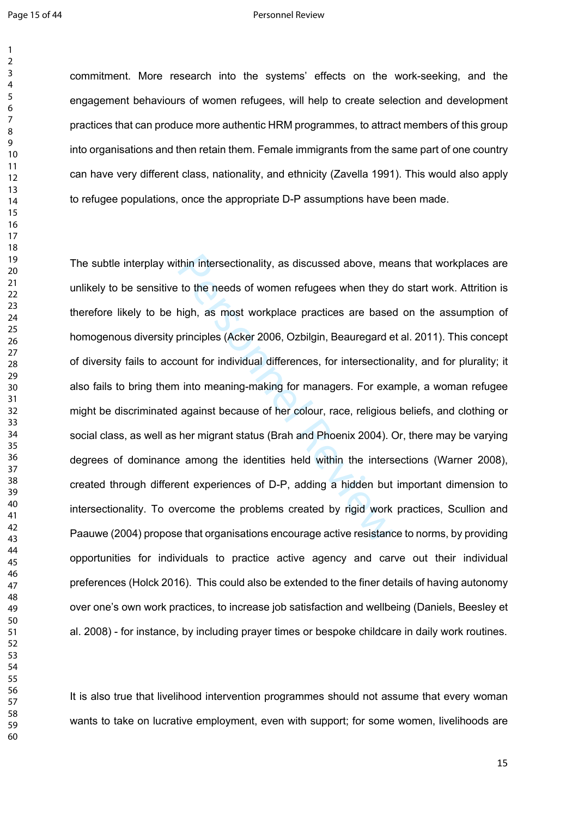#### Page 15 of 44 Personnel Review

commitment. More research into the systems' effects on the work-seeking, and the engagement behaviours of women refugees, will help to create selection and development practices that can produce more authentic HRM programmes, to attract members of this group into organisations and then retain them. Female immigrants from the same part of one country can have very different class, nationality, and ethnicity (Zavella 1991). This would also apply to refugee populations, once the appropriate D-P assumptions have been made.

thin intersectionality, as discussed above, me<br>to the needs of women refugees when they of<br>high, as most workplace practices are based<br>principles (Acker 2006, Ozbilgin, Beauregard e<br>ount for individual differences, for int The subtle interplay within intersectionality, as discussed above, means that workplaces are unlikely to be sensitive to the needs of women refugees when they do start work. Attrition is therefore likely to be high, as most workplace practices are based on the assumption of homogenous diversity principles (Acker 2006, Ozbilgin, Beauregard et al. 2011). This concept of diversity fails to account for individual differences, for intersectionality, and for plurality; it also fails to bring them into meaning-making for managers. For example, a woman refugee might be discriminated against because of her colour, race, religious beliefs, and clothing or social class, as well as her migrant status (Brah and Phoenix 2004). Or, there may be varying degrees of dominance among the identities held within the intersections (Warner 2008), created through different experiences of D-P, adding a hidden but important dimension to intersectionality. To overcome the problems created by rigid work practices, Scullion and Paauwe (2004) propose that organisations encourage active resistance to norms, by providing opportunities for individuals to practice active agency and carve out their individual preferences (Holck 2016). This could also be extended to the finer details of having autonomy over one's own work practices, to increase job satisfaction and wellbeing (Daniels, Beesley et al. 2008) - for instance, by including prayer times or bespoke childcare in daily work routines.

It is also true that livelihood intervention programmes should not assume that every woman wants to take on lucrative employment, even with support; for some women, livelihoods are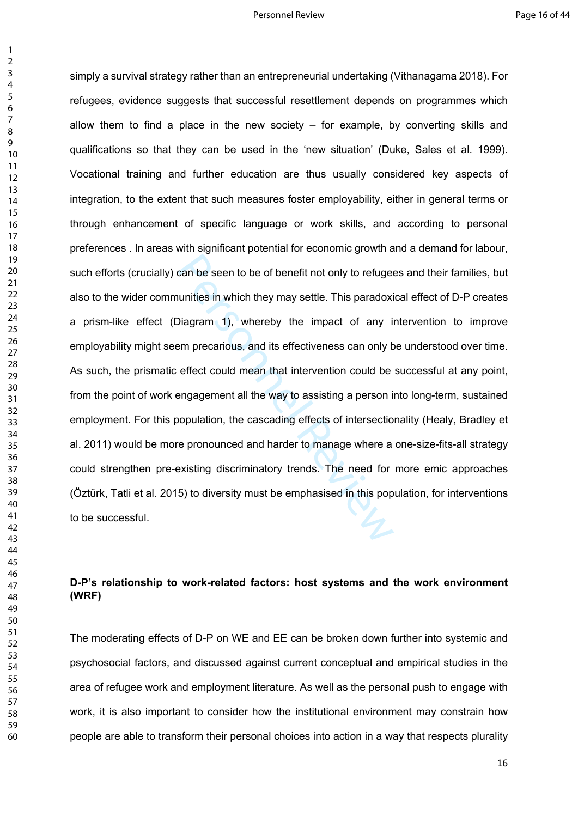$\mathbf{1}$ 

can be seen to be of benefit not only to refuge<br>
uunities in which they may settle. This paradoxi<br>
Diagram 1), whereby the impact of any is<br>
em precarious, and its effectiveness can only be<br>
effect could mean that interven simply a survival strategy rather than an entrepreneurial undertaking (Vithanagama 2018). For refugees, evidence suggests that successful resettlement depends on programmes which allow them to find a place in the new society  $-$  for example, by converting skills and qualifications so that they can be used in the 'new situation' (Duke, Sales et al. 1999). Vocational training and further education are thus usually considered key aspects of integration, to the extent that such measures foster employability, either in general terms or through enhancement of specific language or work skills, and according to personal preferences . In areas with significant potential for economic growth and a demand for labour, such efforts (crucially) can be seen to be of benefit not only to refugees and their families, but also to the wider communities in which they may settle. This paradoxical effect of D-P creates a prism-like effect (Diagram 1), whereby the impact of any intervention to improve employability might seem precarious, and its effectiveness can only be understood over time. As such, the prismatic effect could mean that intervention could be successful at any point, from the point of work engagement all the way to assisting a person into long-term, sustained employment. For this population, the cascading effects of intersectionality (Healy, Bradley et al. 2011) would be more pronounced and harder to manage where a one-size-fits-all strategy could strengthen pre-existing discriminatory trends. The need for more emic approaches (Öztürk, Tatli et al. 2015) to diversity must be emphasised in this population, for interventions to be successful.

# **D-P's relationship to work-related factors: host systems and the work environment (WRF)**

The moderating effects of D-P on WE and EE can be broken down further into systemic and psychosocial factors, and discussed against current conceptual and empirical studies in the area of refugee work and employment literature. As well as the personal push to engage with work, it is also important to consider how the institutional environment may constrain how people are able to transform their personal choices into action in a way that respects plurality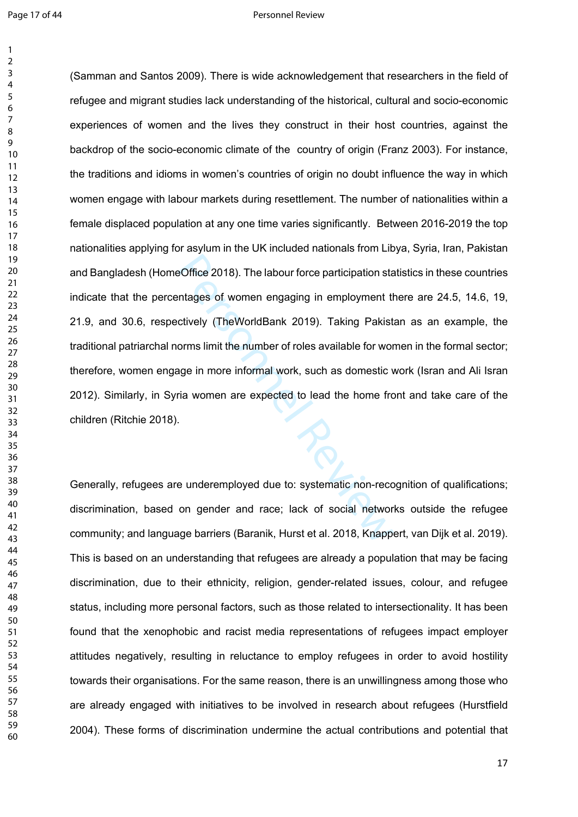#### Page 17 of 44 Personnel Review

eOffice 2018). The labour force participation stand<br>transport of women engaging in employment the city (TheWorldBank 2019). Taking Pakist<br>orms limit the number of roles available for wor<br>age in more informal work, such as (Samman and Santos 2009). There is wide acknowledgement that researchers in the field of refugee and migrant studies lack understanding of the historical, cultural and socio-economic experiences of women and the lives they construct in their host countries, against the backdrop of the socio-economic climate of the country of origin (Franz 2003). For instance, the traditions and idioms in women's countries of origin no doubt influence the way in which women engage with labour markets during resettlement. The number of nationalities within a female displaced population at any one time varies significantly. Between 2016-2019 the top nationalities applying for asylum in the UK included nationals from Libya, Syria, Iran, Pakistan and Bangladesh (HomeOffice 2018). The labour force participation statistics in these countries indicate that the percentages of women engaging in employment there are 24.5, 14.6, 19, 21.9, and 30.6, respectively (TheWorldBank 2019). Taking Pakistan as an example, the traditional patriarchal norms limit the number of roles available for women in the formal sector; therefore, women engage in more informal work, such as domestic work (Isran and Ali Isran 2012). Similarly, in Syria women are expected to lead the home front and take care of the children (Ritchie 2018).

Generally, refugees are underemployed due to: systematic non-recognition of qualifications; discrimination, based on gender and race; lack of social networks outside the refugee community; and language barriers (Baranik, Hurst et al. 2018, Knappert, van Dijk et al. 2019). This is based on an understanding that refugees are already a population that may be facing discrimination, due to their ethnicity, religion, gender-related issues, colour, and refugee status, including more personal factors, such as those related to intersectionality. It has been found that the xenophobic and racist media representations of refugees impact employer attitudes negatively, resulting in reluctance to employ refugees in order to avoid hostility towards their organisations. For the same reason, there is an unwillingness among those who are already engaged with initiatives to be involved in research about refugees (Hurstfield 2004). These forms of discrimination undermine the actual contributions and potential that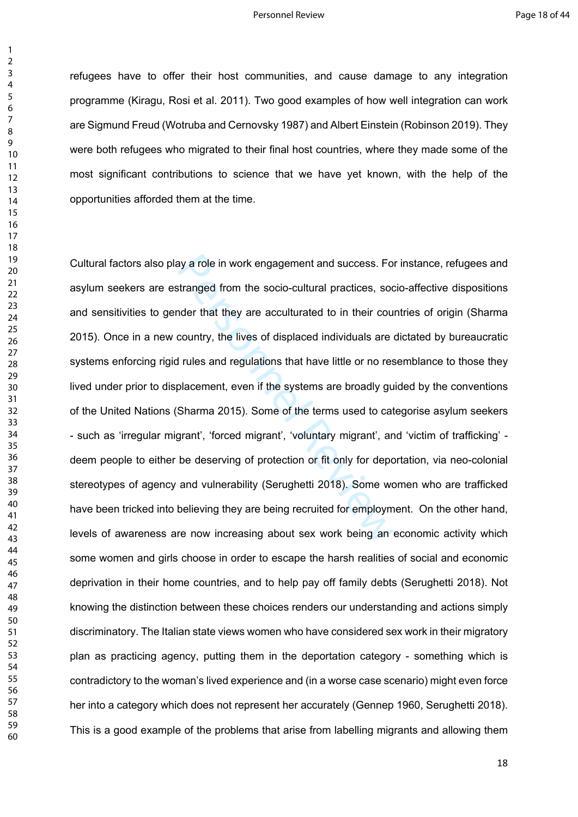refugees have to offer their host communities, and cause damage to any integration programme (Kiragu, Rosi et al. 2011). Two good examples of how well integration can work are Sigmund Freud (Wotruba and Cernovsky 1987) and Albert Einstein (Robinson 2019). They were both refugees who migrated to their final host countries, where they made some of the most significant contributions to science that we have yet known, with the help of the opportunities afforded them at the time.

ay a role in work engagement and success. Fo<br>stranged from the socio-cultural practices, soc<br>onder that they are acculturated to in their cou<br>country, the lives of displaced individuals are<br>l rules and regulations that hav Cultural factors also play a role in work engagement and success. For instance, refugees and asylum seekers are estranged from the socio-cultural practices, socio-affective dispositions and sensitivities to gender that they are acculturated to in their countries of origin (Sharma 2015). Once in a new country, the lives of displaced individuals are dictated by bureaucratic systems enforcing rigid rules and regulations that have little or no resemblance to those they lived under prior to displacement, even if the systems are broadly guided by the conventions of the United Nations (Sharma 2015). Some of the terms used to categorise asylum seekers - such as 'irregular migrant', 'forced migrant', 'voluntary migrant', and 'victim of trafficking' deem people to either be deserving of protection or fit only for deportation, via neo-colonial stereotypes of agency and vulnerability (Serughetti 2018). Some women who are trafficked have been tricked into believing they are being recruited for employment. On the other hand, levels of awareness are now increasing about sex work being an economic activity which some women and girls choose in order to escape the harsh realities of social and economic deprivation in their home countries, and to help pay off family debts (Serughetti 2018). Not knowing the distinction between these choices renders our understanding and actions simply discriminatory. The Italian state views women who have considered sex work in their migratory plan as practicing agency, putting them in the deportation category - something which is contradictory to the woman's lived experience and (in a worse case scenario) might even force her into a category which does not represent her accurately (Gennep 1960, Serughetti 2018). This is a good example of the problems that arise from labelling migrants and allowing them

 $\mathbf{1}$  $\overline{2}$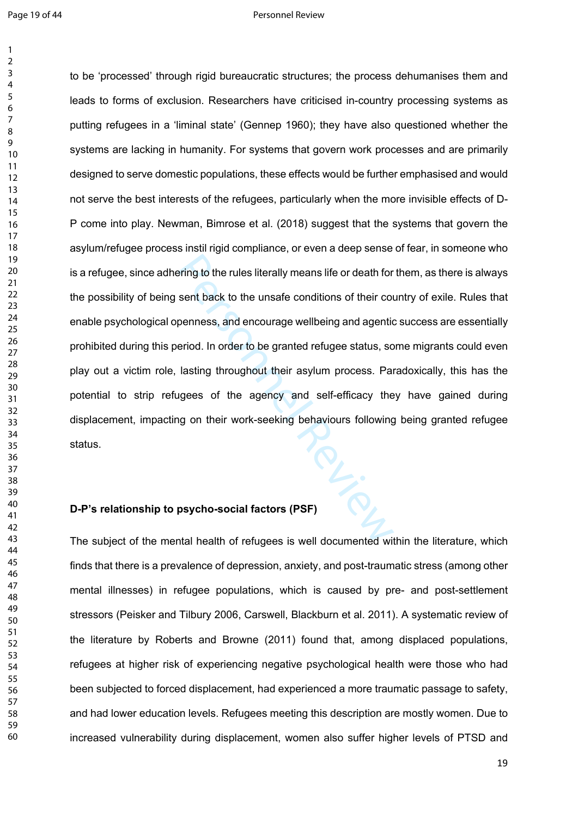#### Page 19 of 44 Personnel Review

Price to be 'processed' through rigid bureaucratic structures; the process dehumanises them and leads to forms of exclusion. Researchers have criticised in-country processing systems as putting refugees in a 'liminal state' (Gennep 1960); they have also questioned whether the systems are lacking in humanity. For systems that govern work processes and are primarily designed to serve domestic populations, these effects would be further emphasised and would not serve the best interests of the refugees, particularly when the more invisible effects of D-P come into play. Newman, Bimrose et al. (2018) suggest that the systems that govern the asylum/refugee process instil rigid compliance, or even a deep sense of fear, in someone who is a refugee, since adhering to the rules literally means life or death for them, as there is always the possibility of being sent back to the unsafe conditions of their country of exile. Rules that enable psychological openness, and encourage wellbeing and agentic success are essentially prohibited during this period. In order to be granted refugee status, some migrants could even play out a victim role, lasting throughout their asylum process. Paradoxically, this has the potential to strip refugees of the agency and self-efficacy they have gained during displacement, impacting on their work-seeking behaviours following being granted refugee status.

## **D-P's relationship to psycho-social factors (PSF)**

The subject of the mental health of refugees is well documented within the literature, which finds that there is a prevalence of depression, anxiety, and post-traumatic stress (among other mental illnesses) in refugee populations, which is caused by pre- and post-settlement stressors (Peisker and Tilbury 2006, Carswell, Blackburn et al. 2011). A systematic review of the literature by Roberts and Browne (2011) found that, among displaced populations, refugees at higher risk of experiencing negative psychological health were those who had been subjected to forced displacement, had experienced a more traumatic passage to safety, and had lower education levels. Refugees meeting this description are mostly women. Due to increased vulnerability during displacement, women also suffer higher levels of PTSD and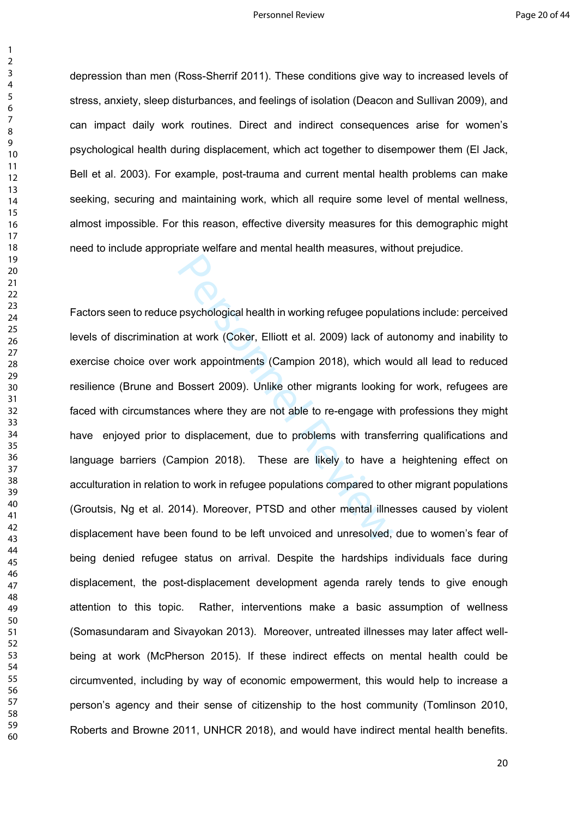#### Personnel Review **Page 20 of 44**

 $\mathbf{1}$ 

depression than men (Ross-Sherrif 2011). These conditions give way to increased levels of stress, anxiety, sleep disturbances, and feelings of isolation (Deacon and Sullivan 2009), and can impact daily work routines. Direct and indirect consequences arise for women's psychological health during displacement, which act together to disempower them (El Jack, Bell et al. 2003). For example, post-trauma and current mental health problems can make seeking, securing and maintaining work, which all require some level of mental wellness, almost impossible. For this reason, effective diversity measures for this demographic might need to include appropriate welfare and mental health measures, without prejudice.

psychological health in working refugee popular at work (Coker, Elliott et al. 2009) lack of an vork appointments (Campion 2018), which we Bossert 2009). Unlike other migrants looking wise where they are not able to re-eng Factors seen to reduce psychological health in working refugee populations include: perceived levels of discrimination at work (Coker, Elliott et al. 2009) lack of autonomy and inability to exercise choice over work appointments (Campion 2018), which would all lead to reduced resilience (Brune and Bossert 2009). Unlike other migrants looking for work, refugees are faced with circumstances where they are not able to re-engage with professions they might have enjoyed prior to displacement, due to problems with transferring qualifications and language barriers (Campion 2018). These are likely to have a heightening effect on acculturation in relation to work in refugee populations compared to other migrant populations (Groutsis, Ng et al. 2014). Moreover, PTSD and other mental illnesses caused by violent displacement have been found to be left unvoiced and unresolved, due to women's fear of being denied refugee status on arrival. Despite the hardships individuals face during displacement, the post-displacement development agenda rarely tends to give enough attention to this topic. Rather, interventions make a basic assumption of wellness (Somasundaram and Sivayokan 2013). Moreover, untreated illnesses may later affect wellbeing at work (McPherson 2015). If these indirect effects on mental health could be circumvented, including by way of economic empowerment, this would help to increase a person's agency and their sense of citizenship to the host community (Tomlinson 2010, Roberts and Browne 2011, UNHCR 2018), and would have indirect mental health benefits.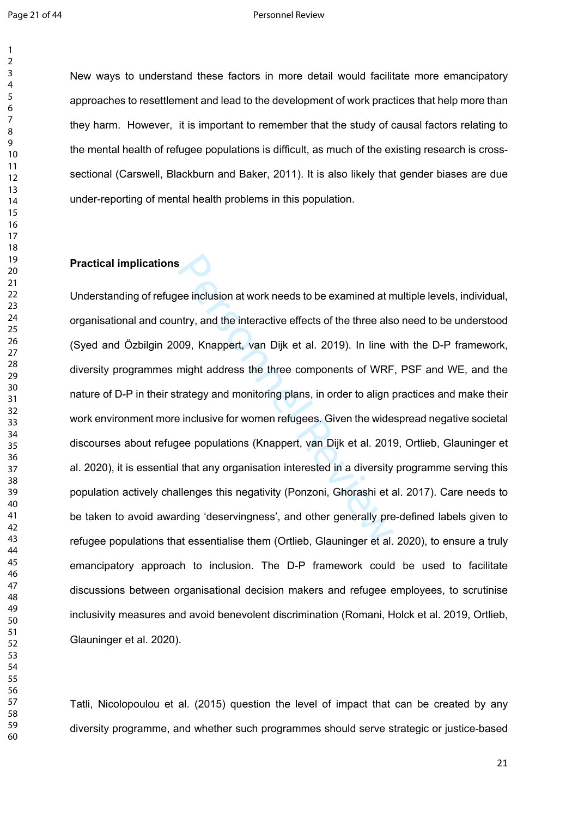New ways to understand these factors in more detail would facilitate more emancipatory approaches to resettlement and lead to the development of work practices that help more than they harm. However, it is important to remember that the study of causal factors relating to the mental health of refugee populations is difficult, as much of the existing research is crosssectional (Carswell, Blackburn and Baker, 2011). It is also likely that gender biases are due under-reporting of mental health problems in this population.

## **Practical implications**

Somethian at work needs to be examined at m<br>
Intry, and the interactive effects of the three als<br>
1009, Knappert, van Dijk et al. 2019). In line v<br>
Imight address the three components of WRF<br>
Irategy and monitoring plans, Understanding of refugee inclusion at work needs to be examined at multiple levels, individual, organisational and country, and the interactive effects of the three also need to be understood (Syed and Özbilgin 2009, Knappert, van Dijk et al. 2019). In line with the D-P framework, diversity programmes might address the three components of WRF, PSF and WE, and the nature of D-P in their strategy and monitoring plans, in order to align practices and make their work environment more inclusive for women refugees. Given the widespread negative societal discourses about refugee populations (Knappert, van Dijk et al. 2019, Ortlieb, Glauninger et al. 2020), it is essential that any organisation interested in a diversity programme serving this population actively challenges this negativity (Ponzoni, Ghorashi et al. 2017). Care needs to be taken to avoid awarding 'deservingness', and other generally pre-defined labels given to refugee populations that essentialise them (Ortlieb, Glauninger et al. 2020), to ensure a truly emancipatory approach to inclusion. The D-P framework could be used to facilitate discussions between organisational decision makers and refugee employees, to scrutinise inclusivity measures and avoid benevolent discrimination (Romani, Holck et al. 2019, Ortlieb, Glauninger et al. 2020).

Tatli, Nicolopoulou et al. (2015) question the level of impact that can be created by any diversity programme, and whether such programmes should serve strategic or justice-based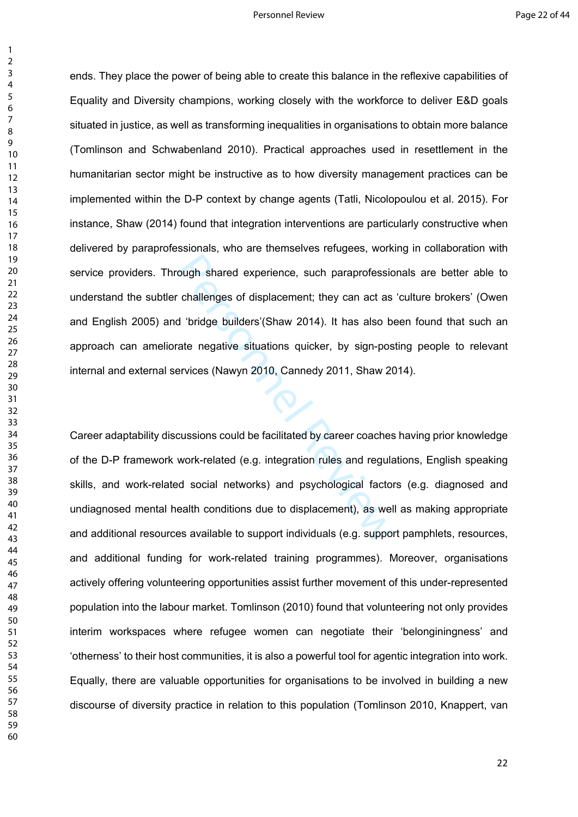#### Personnel Review **Page 22 of 44**

 $\mathbf{1}$ 

ough shared experience, such paraprofessic<br>
challenges of displacement; they can act as<br>
d 'bridge builders'(Shaw 2014). It has also b<br>
ate negative situations quicker, by sign-pos<br>
ervices (Nawyn 2010, Cannedy 2011, Shaw ends. They place the power of being able to create this balance in the reflexive capabilities of Equality and Diversity champions, working closely with the workforce to deliver E&D goals situated in justice, as well as transforming inequalities in organisations to obtain more balance (Tomlinson and Schwabenland 2010). Practical approaches used in resettlement in the humanitarian sector might be instructive as to how diversity management practices can be implemented within the D-P context by change agents (Tatli, Nicolopoulou et al. 2015). For instance, Shaw (2014) found that integration interventions are particularly constructive when delivered by paraprofessionals, who are themselves refugees, working in collaboration with service providers. Through shared experience, such paraprofessionals are better able to understand the subtler challenges of displacement; they can act as 'culture brokers' (Owen and English 2005) and 'bridge builders'(Shaw 2014). It has also been found that such an approach can ameliorate negative situations quicker, by sign-posting people to relevant internal and external services (Nawyn 2010, Cannedy 2011, Shaw 2014).

Career adaptability discussions could be facilitated by career coaches having prior knowledge of the D-P framework work-related (e.g. integration rules and regulations, English speaking skills, and work-related social networks) and psychological factors (e.g. diagnosed and undiagnosed mental health conditions due to displacement), as well as making appropriate and additional resources available to support individuals (e.g. support pamphlets, resources, and additional funding for work-related training programmes). Moreover, organisations actively offering volunteering opportunities assist further movement of this under-represented population into the labour market. Tomlinson (2010) found that volunteering not only provides interim workspaces where refugee women can negotiate their 'belonginingness' and 'otherness' to their host communities, it is also a powerful tool for agentic integration into work. Equally, there are valuable opportunities for organisations to be involved in building a new discourse of diversity practice in relation to this population (Tomlinson 2010, Knappert, van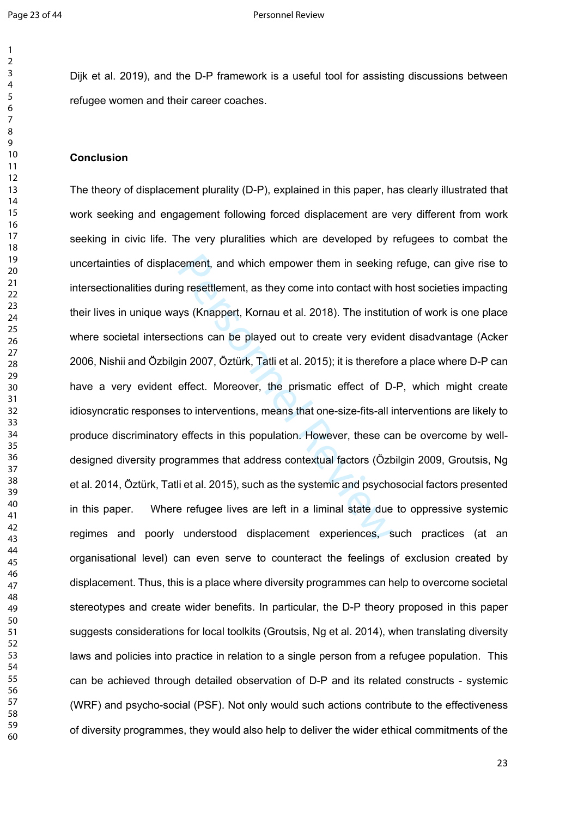$\mathbf{1}$  $\overline{2}$ 

Dijk et al. 2019), and the D-P framework is a useful tool for assisting discussions between refugee women and their career coaches.

## **Conclusion**

cement, and which empower them in seeking<br>g resettlement, as they come into contact with<br>ys (Knappert, Kornau et al. 2018). The institut<br>tions can be played out to create very evide<br>in 2007, Öztürk, Tatli et al. 2015); it The theory of displacement plurality (D-P), explained in this paper, has clearly illustrated that work seeking and engagement following forced displacement are very different from work seeking in civic life. The very pluralities which are developed by refugees to combat the uncertainties of displacement, and which empower them in seeking refuge, can give rise to intersectionalities during resettlement, as they come into contact with host societies impacting their lives in unique ways (Knappert, Kornau et al. 2018). The institution of work is one place where societal intersections can be played out to create very evident disadvantage (Acker 2006, Nishii and Özbilgin 2007, Öztürk, Tatli et al. 2015); it is therefore a place where D-P can have a very evident effect. Moreover, the prismatic effect of D-P, which might create idiosyncratic responses to interventions, means that one-size-fits-all interventions are likely to produce discriminatory effects in this population. However, these can be overcome by welldesigned diversity programmes that address contextual factors (Özbilgin 2009, Groutsis, Ng et al. 2014, Öztürk, Tatli et al. 2015), such as the systemic and psychosocial factors presented in this paper. Where refugee lives are left in a liminal state due to oppressive systemic regimes and poorly understood displacement experiences, such practices (at an organisational level) can even serve to counteract the feelings of exclusion created by displacement. Thus, this is a place where diversity programmes can help to overcome societal stereotypes and create wider benefits. In particular, the D-P theory proposed in this paper suggests considerations for local toolkits (Groutsis, Ng et al. 2014), when translating diversity laws and policies into practice in relation to a single person from a refugee population. This can be achieved through detailed observation of D-P and its related constructs - systemic (WRF) and psycho-social (PSF). Not only would such actions contribute to the effectiveness of diversity programmes, they would also help to deliver the wider ethical commitments of the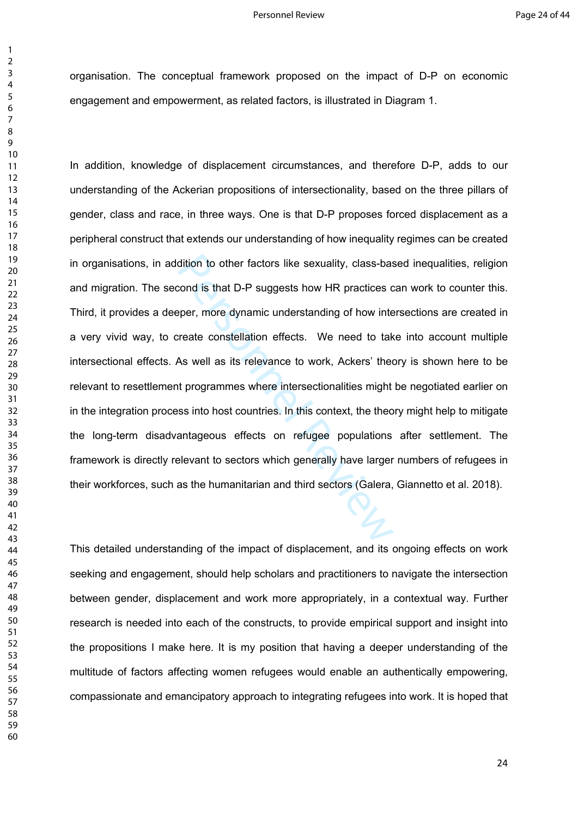organisation. The conceptual framework proposed on the impact of D-P on economic engagement and empowerment, as related factors, is illustrated in Diagram 1.

dition to other factors like sexuality, class-based and is that D-P suggests how HR practices comper, more dynamic understanding of how interreate constellation effects. We need to take As well as its relevance to work, Ac In addition, knowledge of displacement circumstances, and therefore D-P, adds to our understanding of the Ackerian propositions of intersectionality, based on the three pillars of gender, class and race, in three ways. One is that D-P proposes forced displacement as a peripheral construct that extends our understanding of how inequality regimes can be created in organisations, in addition to other factors like sexuality, class-based inequalities, religion and migration. The second is that D-P suggests how HR practices can work to counter this. Third, it provides a deeper, more dynamic understanding of how intersections are created in a very vivid way, to create constellation effects. We need to take into account multiple intersectional effects. As well as its relevance to work, Ackers' theory is shown here to be relevant to resettlement programmes where intersectionalities might be negotiated earlier on in the integration process into host countries. In this context, the theory might help to mitigate the long-term disadvantageous effects on refugee populations after settlement. The framework is directly relevant to sectors which generally have larger numbers of refugees in their workforces, such as the humanitarian and third sectors (Galera, Giannetto et al. 2018).

This detailed understanding of the impact of displacement, and its ongoing effects on work seeking and engagement, should help scholars and practitioners to navigate the intersection between gender, displacement and work more appropriately, in a contextual way. Further research is needed into each of the constructs, to provide empirical support and insight into the propositions I make here. It is my position that having a deeper understanding of the multitude of factors affecting women refugees would enable an authentically empowering, compassionate and emancipatory approach to integrating refugees into work. It is hoped that

 $\mathbf{1}$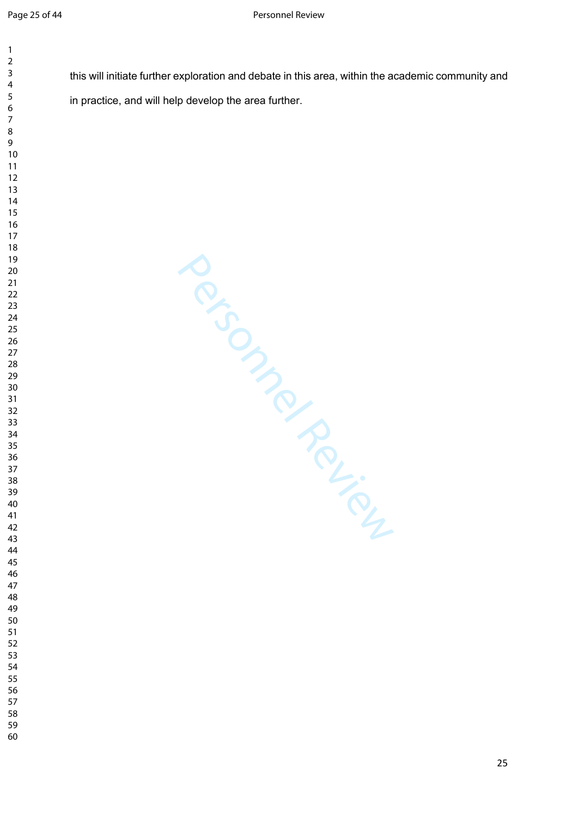$\mathbf{1}$  $\overline{2}$ 

this will initiate further exploration and debate in this area, within the academic community and in practice, and will help develop the area further.

Personnel Review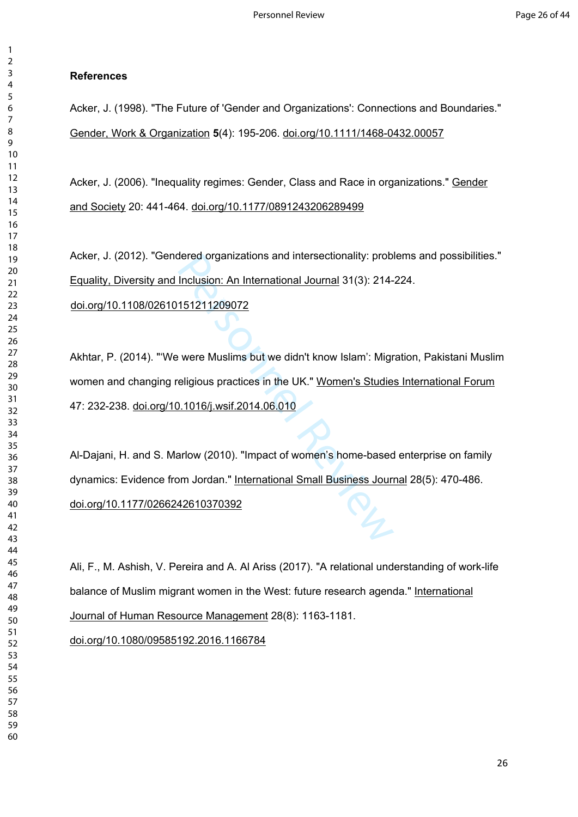## $\overline{4}$  $\overline{7}$

 $\mathbf{1}$  $\overline{2}$ 

 

# **References**

Acker, J. (1998). "The Future of 'Gender and Organizations': Connections and Boundaries." Gender, Work & Organization **5**(4): 195-206. [doi.org/10.1111/1468-0432.00057](https://doi.org/10.1111/1468-0432.00057)

Acker, J. (2006). "Inequality regimes: Gender, Class and Race in organizations." Gender and Society 20: 441-464. [doi.org/10.1177/0891243206289499](https://doi.org/10.1177%2F0891243206289499)

Acker, J. (2012). "Gendered organizations and intersectionality: problems and possibilities." Equality, Diversity and Inclusion: An International Journal 31(3): 214-224.

[doi.org/10.1108/02610151211209072](https://doi.org/10.1108/02610151211209072)

dered organizations and intersectionality: prob<br>
Inclusion: An International Journal 31(3): 214-<br>
151211209072<br>
• were Muslims but we didn't know Islam': Migr<br>
eligious practices in the UK." Women's Studie<br>
1.1016/j.wsif.2 Akhtar, P. (2014). "'We were Muslims but we didn't know Islam': Migration, Pakistani Muslim women and changing religious practices in the UK." Women's Studies International Forum 47: 232-238. [doi.org/10.1016/j.wsif.2014.06.010](https://doi.org/10.1016/j.wsif.2014.06.010)

Al-Dajani, H. and S. Marlow (2010). "Impact of women's home-based enterprise on family dynamics: Evidence from Jordan." International Small Business Journal 28(5): 470-486. [doi.org/10.1177/0266242610370392](https://doi.org/10.1177%2F0266242610370392)

Ali, F., M. Ashish, V. Pereira and A. Al Ariss (2017). "A relational understanding of work-life balance of Muslim migrant women in the West: future research agenda." International Journal of Human Resource Management 28(8): 1163-1181.

[doi.org/10.1080/09585192.2016.1166784](https://doi.org/10.1080/09585192.2016.1166784)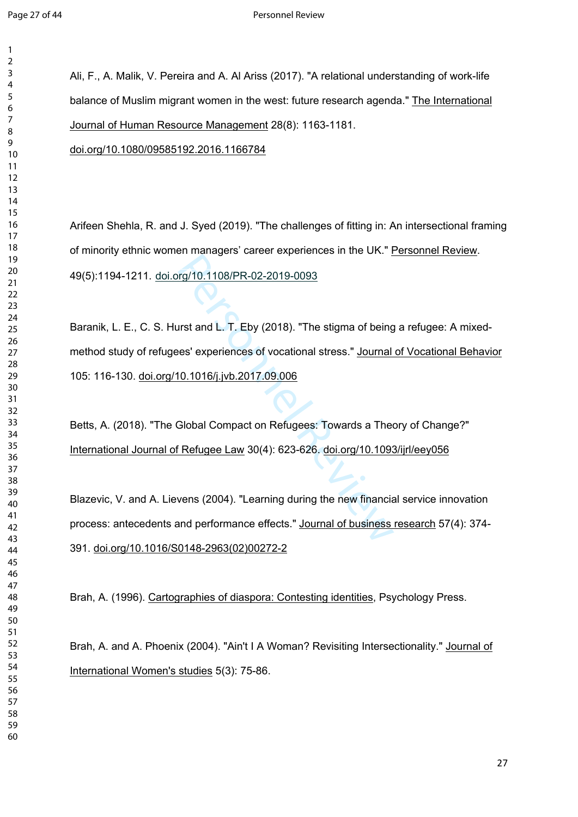$\mathbf{1}$  $\overline{2}$ 

Ali, F., A. Malik, V. Pereira and A. Al Ariss (2017). "A relational understanding of work-life balance of Muslim migrant women in the west: future research agenda." The International Journal of Human Resource Management 28(8): 1163-1181.

[doi.org/10.1080/09585192.2016.1166784](https://doi.org/10.1080/09585192.2016.1166784)

Arifeen Shehla, R. and J. Syed (2019). "The challenges of fitting in: An intersectional framing of minority ethnic women managers' career experiences in the UK." Personnel Review. 49(5):1194-1211. doi.org/10.1108/PR-02-2019-0093

rg/10.1108/PR-02-2019-0093<br>urst and L. T. Eby (2018). "The stigma of being<br>es' experiences of vocational stress." Journal<br>10.1016/j.jvb.2017.09.006<br>Global Compact on Refugees: Towards a Thee<br>Frefugee Law 30(4): 623-626. <u>d</u> Baranik, L. E., C. S. Hurst and L. T. Eby (2018). "The stigma of being a refugee: A mixedmethod study of refugees' experiences of vocational stress." Journal of Vocational Behavior 105: 116-130. [doi.org/10.1016/j.jvb.2017.09.006](https://doi.org/10.1016/j.jvb.2017.09.006)

Betts, A. (2018). "The Global Compact on Refugees: Towards a Theory of Change?" International Journal of Refugee Law 30(4): 623-626. [doi.org/10.1093/ijrl/eey056](https://doi.org/10.1093/ijrl/eey056)

Blazevic, V. and A. Lievens (2004). "Learning during the new financial service innovation process: antecedents and performance effects." Journal of business research 57(4): 374- 391. [doi.org/10.1016/S0148-2963\(02\)00272-2](https://doi.org/10.1016/S0148-2963(02)00272-2)

Brah, A. (1996). Cartographies of diaspora: Contesting identities, Psychology Press.

Brah, A. and A. Phoenix (2004). "Ain't I A Woman? Revisiting Intersectionality." Journal of International Women's studies 5(3): 75-86.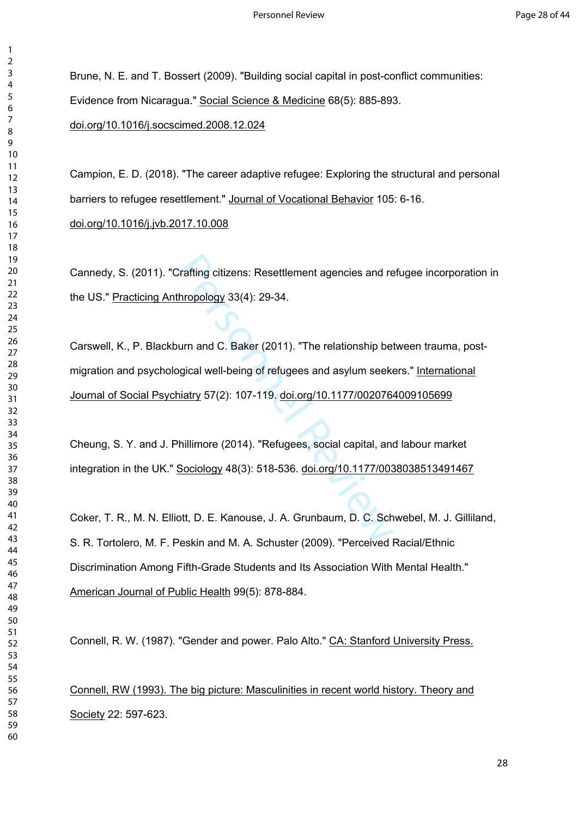$\mathbf{1}$  $\overline{2}$ 

Brune, N. E. and T. Bossert (2009). "Building social capital in post-conflict communities: Evidence from Nicaragua." Social Science & Medicine 68(5): 885-893. [doi.org/10.1016/j.socscimed.2008.12.024](https://doi.org/10.1016/j.socscimed.2008.12.024)

Campion, E. D. (2018). "The career adaptive refugee: Exploring the structural and personal barriers to refugee resettlement." Journal of Vocational Behavior 105: 6-16. [doi.org/10.1016/j.jvb.2017.10.008](https://doi.org/10.1016/j.jvb.2017.10.008)

Cannedy, S. (2011). "Crafting citizens: Resettlement agencies and refugee incorporation in the US." Practicing Anthropology 33(4): 29-34.

Carafting citizens: Resettlement agencies and re<br>
hropology 33(4): 29-34.<br>
urn and C. Baker (2011). "The relationship bet<br>
origical well-being of refugees and asylum seeker<br>
hillimore (2014). "Refugees, social capital, ane Carswell, K., P. Blackburn and C. Baker (2011). "The relationship between trauma, postmigration and psychological well-being of refugees and asylum seekers." International Journal of Social Psychiatry 57(2): 107-119. [doi.org/10.1177/0020764009105699](https://doi.org/10.1177%2F0020764009105699)

Cheung, S. Y. and J. Phillimore (2014). "Refugees, social capital, and labour market integration in the UK." Sociology 48(3): 518-536. [doi.org/10.1177/0038038513491467](https://doi.org/10.1177%2F0038038513491467)

Coker, T. R., M. N. Elliott, D. E. Kanouse, J. A. Grunbaum, D. C. Schwebel, M. J. Gilliland, S. R. Tortolero, M. F. Peskin and M. A. Schuster (2009). "Perceived Racial/Ethnic Discrimination Among Fifth-Grade Students and Its Association With Mental Health." American Journal of Public Health 99(5): 878-884.

Connell, R. W. (1987). "Gender and power. Palo Alto." CA: Stanford University Press.

Connell, RW (1993). The big picture: Masculinities in recent world history. Theory and Society 22: 597-623.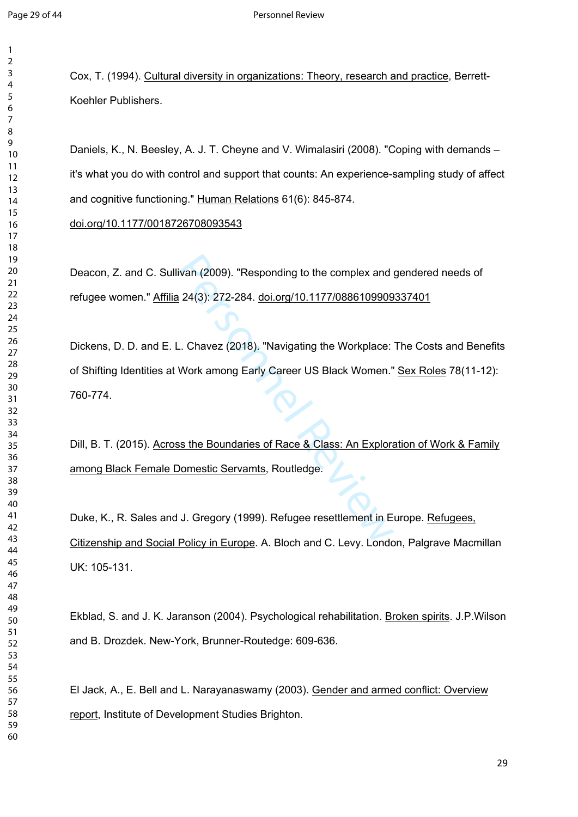$\mathbf{1}$  $\overline{2}$ 

Cox, T. (1994). Cultural diversity in organizations: Theory, research and practice, Berrett-Koehler Publishers.

Daniels, K., N. Beesley, A. J. T. Cheyne and V. Wimalasiri (2008). "Coping with demands – it's what you do with control and support that counts: An experience-sampling study of affect and cognitive functioning." Human Relations 61(6): 845-874.

[doi.org/10.1177/0018726708093543](https://doi.org/10.1177%2F0018726708093543)

Deacon, Z. and C. Sullivan (2009). "Responding to the complex and gendered needs of refugee women." Affilia 24(3): 272-284. [doi.org/10.1177/0886109909337401](https://doi.org/10.1177%2F0886109909337401)

ivan (2009). "Responding to the complex and<br>
1 24(3): 272-284. <u>doi.org/10.1177/0886109909</u><br>
1. Chavez (2018). "Navigating the Workplace:<br>
Work among Early Career US Black Women."<br>
1. Step Boundaries of Race & Class: An Ex Dickens, D. D. and E. L. Chavez (2018). "Navigating the Workplace: The Costs and Benefits of Shifting Identities at Work among Early Career US Black Women." Sex Roles 78(11-12): 760-774.

Dill, B. T. (2015). Across the Boundaries of Race & Class: An Exploration of Work & Family among Black Female Domestic Servamts, Routledge.

Duke, K., R. Sales and J. Gregory (1999). Refugee resettlement in Europe. Refugees, Citizenship and Social Policy in Europe. A. Bloch and C. Levy. London, Palgrave Macmillan UK: 105-131.

Ekblad, S. and J. K. Jaranson (2004). Psychological rehabilitation. Broken spirits. J.P.Wilson and B. Drozdek. New-York, Brunner-Routedge: 609-636.

El Jack, A., E. Bell and L. Narayanaswamy (2003). Gender and armed conflict: Overview report, Institute of Development Studies Brighton.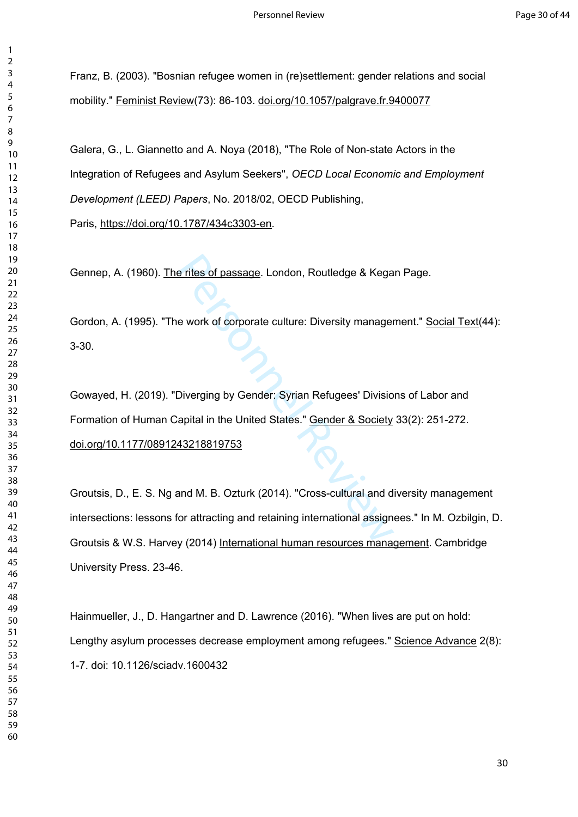Franz, B. (2003). "Bosnian refugee women in (re)settlement: gender relations and social mobility." Feminist Review(73): 86-103. [doi.org/10.1057/palgrave.fr.9400077](https://doi.org/10.1057%2Fpalgrave.fr.9400077)

Galera, G., L. Giannetto and A. Noya (2018), "The Role of Non-state Actors in the Integration of Refugees and Asylum Seekers", *OECD Local Economic and Employment Development (LEED) Papers*, No. 2018/02, OECD Publishing, Paris, [https://doi.org/10.1787/434c3303-en.](https://doi.org/10.1787/434c3303-en)

Gennep, A. (1960). The rites of passage. London, Routledge & Kegan Page.

Gordon, A. (1995). "The work of corporate culture: Diversity management." Social Text(44): 3-30.

e rites of passage. London, Routledge & Kega<br>
e work of corporate culture: Diversity manager<br>
Diverging by Gender: Syrian Refugees' Divisio<br>
apital in the United States." <u>Gender & Society</u><br>
43218819753<br>
and M. B. Ozturk ( Gowayed, H. (2019). "Diverging by Gender: Syrian Refugees' Divisions of Labor and Formation of Human Capital in the United States." Gender & Society 33(2): 251-272. [doi.org/10.1177/0891243218819753](https://doi.org/10.1177%2F0891243218819753)

Groutsis, D., E. S. Ng and M. B. Ozturk (2014). "Cross-cultural and diversity management intersections: lessons for attracting and retaining international assignees." In M. Ozbilgin, D. Groutsis & W.S. Harvey (2014) International human resources management. Cambridge University Press. 23-46.

Hainmueller, J., D. Hangartner and D. Lawrence (2016). "When lives are put on hold: Lengthy asylum processes decrease employment among refugees." Science Advance 2(8): 1-7. doi: 10.1126/sciadv.1600432

 $\mathbf{1}$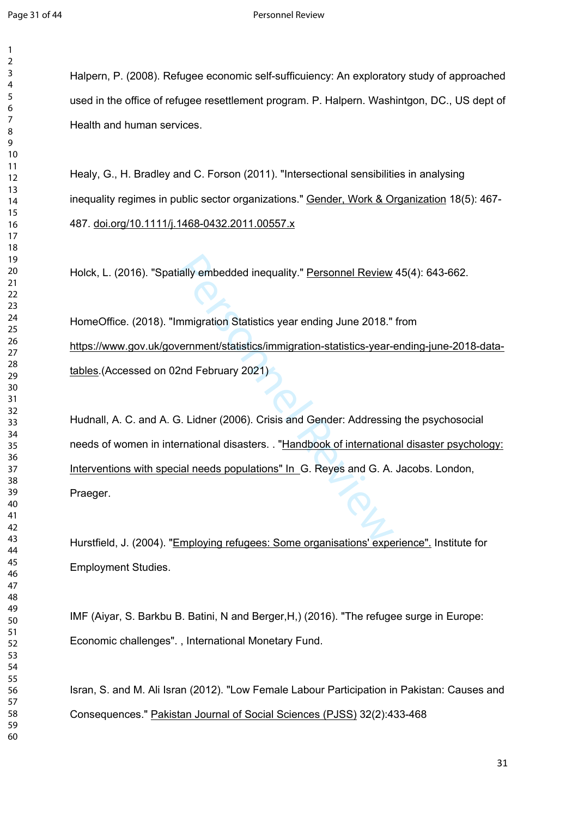$\mathbf{1}$  $\overline{2}$  $\overline{4}$ 

Halpern, P. (2008). Refugee economic self-sufficuiency: An exploratory study of approached used in the office of refugee resettlement program. P. Halpern. Washintgon, DC., US dept of Health and human services.

Healy, G., H. Bradley and C. Forson (2011). "Intersectional sensibilities in analysing inequality regimes in public sector organizations." Gender, Work & Organization 18(5): 467- 487. [doi.org/10.1111/j.1468-0432.2011.00557.x](https://doi.org/10.1111/j.1468-0432.2011.00557.x)

Holck, L. (2016). "Spatially embedded inequality." Personnel Review 45(4): 643-662.

HomeOffice. (2018). "Immigration Statistics year ending June 2018." from [https://www.gov.uk/government/statistics/immigration-statistics-year-ending-june-2018-data](https://www.gov.uk/government/statistics/immigration-statistics-year-ending-june-2018-data-tables)[tables](https://www.gov.uk/government/statistics/immigration-statistics-year-ending-june-2018-data-tables).(Accessed on 02nd February 2021)

ially embedded inequality." <u>Personnel Review</u><br>
mmigration Statistics year ending June 2018."<br>
vernment/statistics/immigration-statistics-year-<br>
2nd February 2021)<br>
3. Lidner (2006). Crisis and Gender: Addressin<br>
Frational Hudnall, A. C. and A. G. Lidner (2006). Crisis and Gender: Addressing the psychosocial needs of women in international disasters. . "Handbook of international disaster psychology: Interventions with special needs populations" In G. Reyes and G. A. Jacobs. London, Praeger.

Hurstfield, J. (2004). "Employing refugees: Some organisations' experience". Institute for Employment Studies.

IMF (Aiyar, S. Barkbu B. Batini, N and Berger,H,) (2016). "The refugee surge in Europe: Economic challenges". , International Monetary Fund.

Isran, S. and M. Ali Isran (2012). "Low Female Labour Participation in Pakistan: Causes and Consequences." Pakistan Journal of Social Sciences (PJSS) 32(2):433-468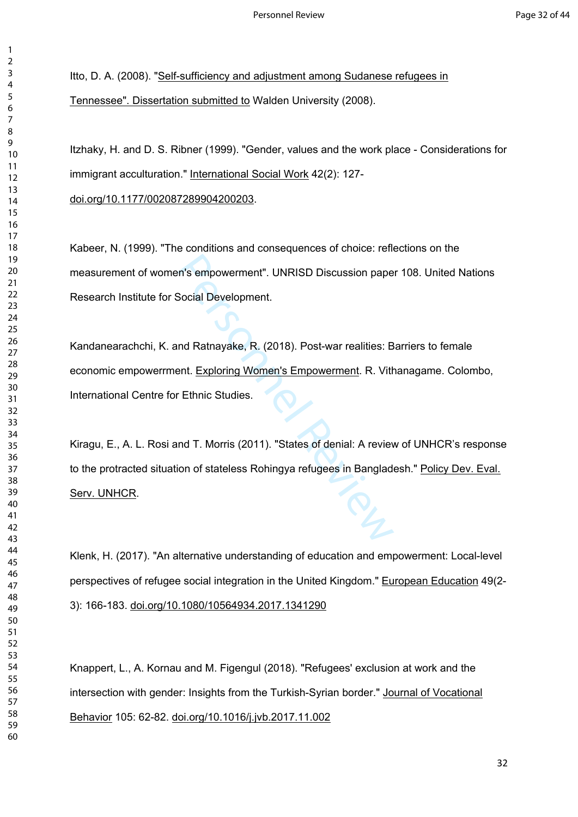Itto, D. A. (2008). "Self-sufficiency and adjustment among Sudanese refugees in Tennessee". Dissertation submitted to Walden University (2008).

Itzhaky, H. and D. S. Ribner (1999). "Gender, values and the work place - Considerations for immigrant acculturation." International Social Work 42(2): 127-

[doi.org/10.1177/002087289904200203.](https://doi.org/10.1177%2F002087289904200203)

Kabeer, N. (1999). "The conditions and consequences of choice: reflections on the measurement of women's empowerment". UNRISD Discussion paper 108. United Nations Research Institute for Social Development.

Kandanearachchi, K. and Ratnayake, R. (2018). Post-war realities: Barriers to female economic empowerrment. Exploring Women's Empowerment. R. Vithanagame. Colombo, International Centre for Ethnic Studies.

n's empowerment". UNRISD Discussion pape<br>
Social Development.<br>
Ind Ratnayake, R. (2018). Post-war realities: B<br>
Pent. Exploring Women's Empowerment. R. Vith<br>
Fethnic Studies.<br>
Ind T. Morris (2011). "States of denial: A rev Kiragu, E., A. L. Rosi and T. Morris (2011). "States of denial: A review of UNHCR's response to the protracted situation of stateless Rohingya refugees in Bangladesh." Policy Dev. Eval. Serv. UNHCR.

Klenk, H. (2017). "An alternative understanding of education and empowerment: Local-level perspectives of refugee social integration in the United Kingdom." European Education 49(2- 3): 166-183. [doi.org/10.1080/10564934.2017.1341290](https://doi.org/10.1080/10564934.2017.1341290)

Knappert, L., A. Kornau and M. Figengul (2018). "Refugees' exclusion at work and the intersection with gender: Insights from the Turkish-Syrian border." Journal of Vocational Behavior 105: 62-82. [doi.org/10.1016/j.jvb.2017.11.002](https://doi.org/10.1016/j.jvb.2017.11.002)

 $\mathbf{1}$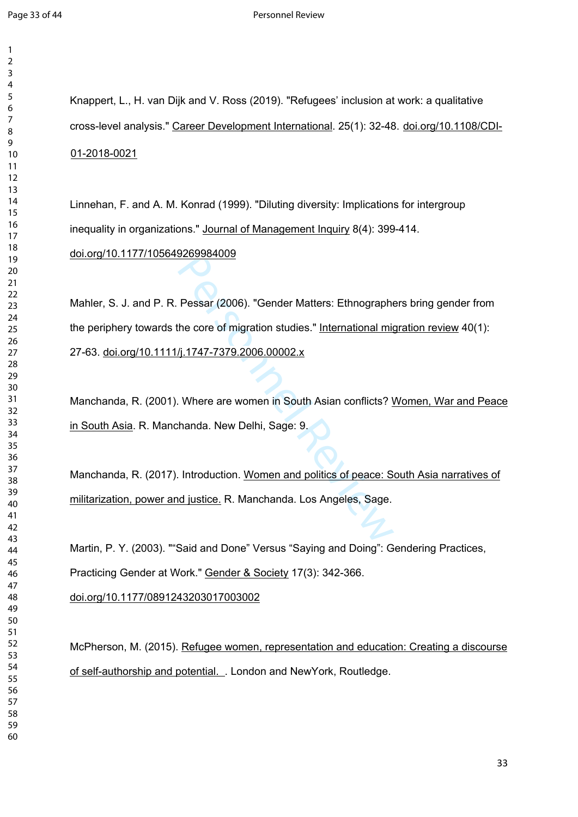$\mathbf{1}$  $\overline{2}$ 

Knappert, L., H. van Dijk and V. Ross (2019). "Refugees' inclusion at work: a qualitative cross-level analysis." Career Development International. 25(1): 32-48. [doi.org/10.1108/CDI-](https://doi.org/10.1108/CDI-01-2018-0021)[01-2018-0021](https://doi.org/10.1108/CDI-01-2018-0021)

Linnehan, F. and A. M. Konrad (1999). "Diluting diversity: Implications for intergroup inequality in organizations." Journal of Management Inquiry 8(4): 399-414.

[doi.org/10.1177/105649269984009](https://doi.org/10.1177%2F105649269984009)

Pessar (2006). "Gender Matters: Ethnographe<br>
the core of migration studies." <u>International miquin 1747-7379.2006.00002.x</u><br>
Where are women in South Asian conflicts? International. New Delhi, Sage: 9.<br>
Ananda. New Delhi, S Mahler, S. J. and P. R. Pessar (2006). "Gender Matters: Ethnographers bring gender from the periphery towards the core of migration studies." International migration review 40(1): 27-63. [doi.org/10.1111/j.1747-7379.2006.00002.x](https://doi.org/10.1111/j.1747-7379.2006.00002.x)

Manchanda, R. (2001). Where are women in South Asian conflicts? Women, War and Peace in South Asia. R. Manchanda. New Delhi, Sage: 9.

Manchanda, R. (2017). Introduction. Women and politics of peace: South Asia narratives of militarization, power and justice. R. Manchanda. Los Angeles, Sage.

Martin, P. Y. (2003). ""Said and Done" Versus "Saying and Doing": Gendering Practices,

Practicing Gender at Work." Gender & Society 17(3): 342-366.

[doi.org/10.1177/0891243203017003002](https://doi.org/10.1177%2F0891243203017003002)

McPherson, M. (2015). Refugee women, representation and education: Creating a discourse of self-authorship and potential. . London and NewYork, Routledge.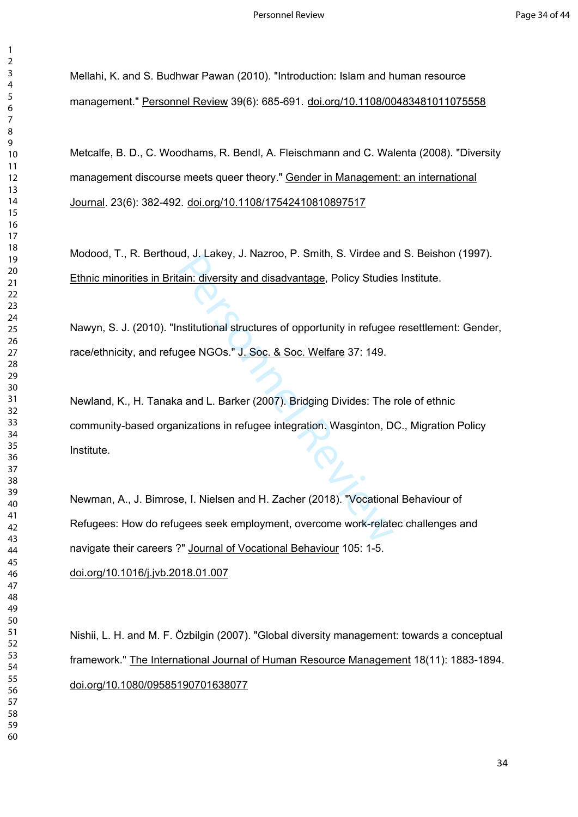Mellahi, K. and S. Budhwar Pawan (2010). "Introduction: Islam and human resource management." Personnel Review 39(6): 685-691. [doi.org/10.1108/00483481011075558](https://doi.org/10.1108/00483481011075558)

Metcalfe, B. D., C. Woodhams, R. Bendl, A. Fleischmann and C. Walenta (2008). "Diversity management discourse meets queer theory." Gender in Management: an international Journal. 23(6): 382-492. [doi.org/10.1108/17542410810897517](https://doi.org/10.1108/17542410810897517)

Modood, T., R. Berthoud, J. Lakey, J. Nazroo, P. Smith, S. Virdee and S. Beishon (1997). Ethnic minorities in Britain: diversity and disadvantage, Policy Studies Institute.

Nawyn, S. J. (2010). "Institutional structures of opportunity in refugee resettlement: Gender, race/ethnicity, and refugee NGOs." J. Soc. & Soc. Welfare 37: 149.

ain: diversity and disadvantage, Policy Studies<br>ain: diversity and disadvantage, Policy Studies<br>mstitutional structures of opportunity in refugee<br>gee NGOs." J. Soc. & Soc. Welfare 37: 149.<br>a and L. Barker (2007). Bridging Newland, K., H. Tanaka and L. Barker (2007). Bridging Divides: The role of ethnic community-based organizations in refugee integration. Wasginton, DC., Migration Policy Institute.

Newman, A., J. Bimrose, I. Nielsen and H. Zacher (2018). "Vocational Behaviour of Refugees: How do refugees seek employment, overcome work-relatec challenges and navigate their careers ?" Journal of Vocational Behaviour 105: 1-5. [doi.org/10.1016/j.jvb.2018.01.007](https://doi.org/10.1016/j.jvb.2018.01.007)

Nishii, L. H. and M. F. Özbilgin (2007). "Global diversity management: towards a conceptual framework." The International Journal of Human Resource Management 18(11): 1883-1894. [doi.org/10.1080/09585190701638077](https://doi.org/10.1080/09585190701638077)

 $\mathbf{1}$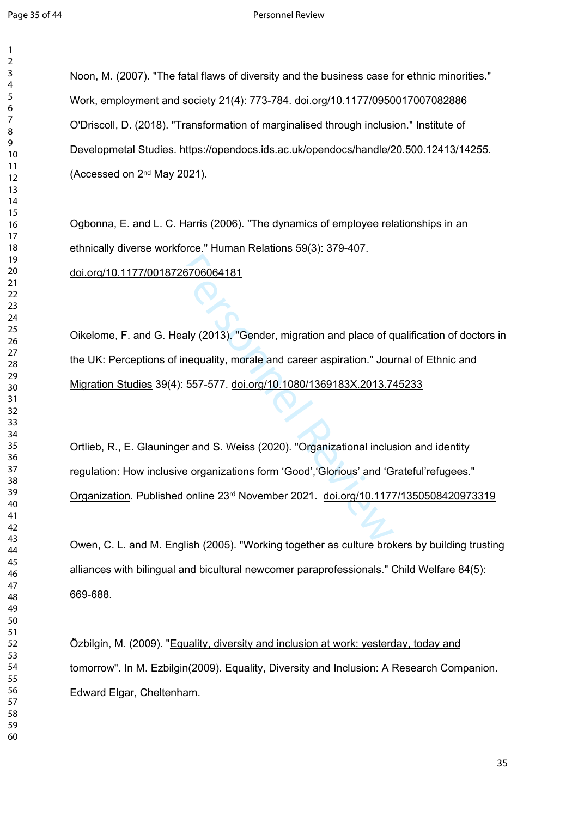$\mathbf{1}$  $\overline{2}$ 

Noon, M. (2007). "The fatal flaws of diversity and the business case for ethnic minorities." Work, employment and society 21(4): 773-784. [doi.org/10.1177/0950017007082886](https://doi.org/10.1177%2F0950017007082886) O'Driscoll, D. (2018). "Transformation of marginalised through inclusion." Institute of Developmetal Studies. https://opendocs.ids.ac.uk/opendocs/handle/20.500.12413/14255. (Accessed on 2nd May 2021).

Ogbonna, E. and L. C. Harris (2006). "The dynamics of employee relationships in an ethnically diverse workforce." Human Relations 59(3): 379-407. [doi.org/10.1177/0018726706064181](https://doi.org/10.1177%2F0018726706064181)

<br>ealy (2013). "Gender, migration and place of q<br>inequality, morale and career aspiration." <u>Jou</u><br>): 557-577. <u>doi.org/10.1080/1369183X.2013.7</u><br>ger and S. Weiss (2020). "Organizational inclus<br>we organizations Oikelome, F. and G. Healy (2013). "Gender, migration and place of qualification of doctors in the UK: Perceptions of inequality, morale and career aspiration." Journal of Ethnic and Migration Studies 39(4): 557-577. [doi.org/10.1080/1369183X.2013.745233](https://doi.org/10.1080/1369183X.2013.745233)

Ortlieb, R., E. Glauninger and S. Weiss (2020). "Organizational inclusion and identity regulation: How inclusive organizations form 'Good','Glorious' and 'Grateful'refugees." Organization. Published online 23rd November 2021. [doi.org/10.1177/1350508420973319](https://doi.org/10.1177%2F1350508420973319)

Owen, C. L. and M. English (2005). "Working together as culture brokers by building trusting alliances with bilingual and bicultural newcomer paraprofessionals." Child Welfare 84(5): 669-688.

Özbilgin, M. (2009). "Equality, diversity and inclusion at work: yesterday, today and tomorrow". In M. Ezbilgin(2009). Equality, Diversity and Inclusion: A Research Companion. Edward Elgar, Cheltenham.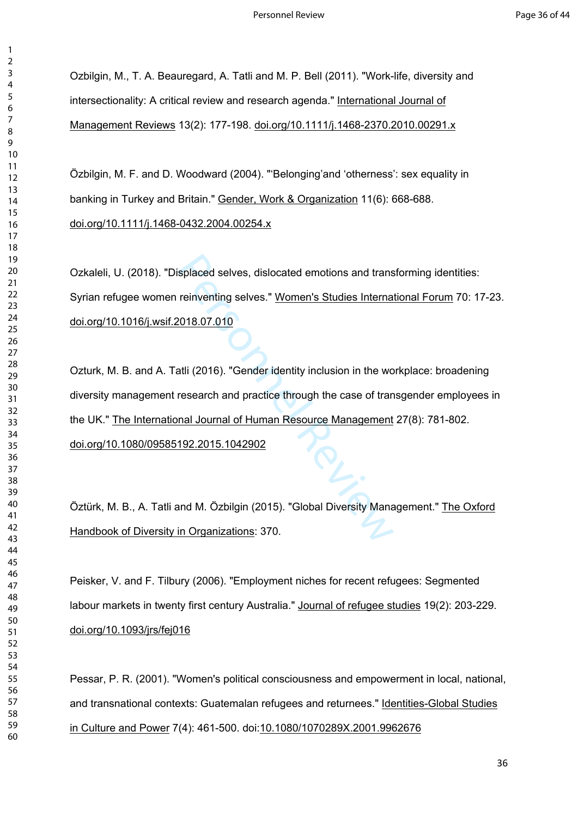Ozbilgin, M., T. A. Beauregard, A. Tatli and M. P. Bell (2011). "Work-life, diversity and intersectionality: A critical review and research agenda." International Journal of Management Reviews 13(2): 177-198. [doi.org/10.1111/j.1468-2370.2010.00291.x](https://doi.org/10.1111/j.1468-2370.2010.00291.x)

Özbilgin, M. F. and D. Woodward (2004). "'Belonging'and 'otherness': sex equality in banking in Turkey and Britain." Gender, Work & Organization 11(6): 668-688. [doi.org/10.1111/j.1468-0432.2004.00254.x](https://doi.org/10.1111/j.1468-0432.2004.00254.x)

Ozkaleli, U. (2018). "Displaced selves, dislocated emotions and transforming identities: Syrian refugee women reinventing selves." Women's Studies International Forum 70: 17-23. [doi.org/10.1016/j.wsif.2018.07.010](https://doi.org/10.1016/j.wsif.2018.07.010)

splaced selves, dislocated emotions and trans<br>reinventing selves." Women's Studies Interna<br>2018.07.010<br>atli (2016). "Gender identity inclusion in the word<br>research and practice through the case of trans<br>and Journal of Huma Ozturk, M. B. and A. Tatli (2016). "Gender identity inclusion in the workplace: broadening diversity management research and practice through the case of transgender employees in the UK." The International Journal of Human Resource Management 27(8): 781-802. [doi.org/10.1080/09585192.2015.1042902](https://doi.org/10.1080/09585192.2015.1042902)

Öztürk, M. B., A. Tatli and M. Özbilgin (2015). "Global Diversity Management." The Oxford Handbook of Diversity in Organizations: 370.

Peisker, V. and F. Tilbury (2006). "Employment niches for recent refugees: Segmented labour markets in twenty first century Australia." Journal of refugee studies 19(2): 203-229. [doi.org/10.1093/jrs/fej016](https://doi.org/10.1093/jrs/fej016)

Pessar, P. R. (2001). "Women's political consciousness and empowerment in local, national, and transnational contexts: Guatemalan refugees and returnees." Identities-Global Studies in Culture and Power 7(4): 461-500. doi:[10.1080/1070289X.2001.9962676](https://doi.org/10.1080/1070289X.2001.9962676)

 $\mathbf{1}$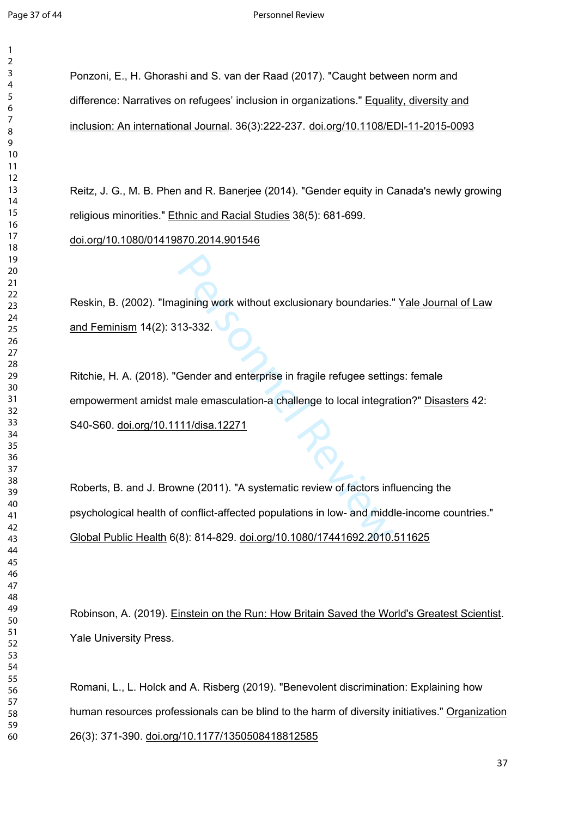$\mathbf{1}$  $\overline{2}$  $\overline{4}$ 

Ponzoni, E., H. Ghorashi and S. van der Raad (2017). "Caught between norm and difference: Narratives on refugees' inclusion in organizations." Equality, diversity and inclusion: An international Journal. 36(3):222-237. [doi.org/10.1108/EDI-11-2015-0093](https://doi.org/10.1108/EDI-11-2015-0093)

Reitz, J. G., M. B. Phen and R. Banerjee (2014). "Gender equity in Canada's newly growing religious minorities." Ethnic and Racial Studies 38(5): 681-699. [doi.org/10.1080/01419870.2014.901546](https://doi.org/10.1080/01419870.2014.901546)

Reskin, B. (2002). "Imagining work without exclusionary boundaries." Yale Journal of Law

and Feminism 14(2): 313-332.

Magnining work without exclusionary boundaries.<br>
13-332.<br>
Gender and enterprise in fragile refugee settin<br>
male emasculation-a challenge to local integra<br>
11/disa.12271<br>
Magnificant Carl Magnitic review of factors informat Ritchie, H. A. (2018). "Gender and enterprise in fragile refugee settings: female empowerment amidst male emasculation-a challenge to local integration?" Disasters 42: S40-S60. [doi.org/10.1111/disa.12271](https://doi.org/10.1111/disa.12271)

Roberts, B. and J. Browne (2011). "A systematic review of factors influencing the psychological health of conflict-affected populations in low- and middle-income countries." Global Public Health 6(8): 814-829. [doi.org/10.1080/17441692.2010.511625](https://doi.org/10.1080/17441692.2010.511625)

Robinson, A. (2019). Einstein on the Run: How Britain Saved the World's Greatest Scientist. Yale University Press.

Romani, L., L. Holck and A. Risberg (2019). "Benevolent discrimination: Explaining how human resources professionals can be blind to the harm of diversity initiatives." Organization 26(3): 371-390. [doi.org/10.1177/1350508418812585](https://doi.org/10.1177%2F1350508418812585)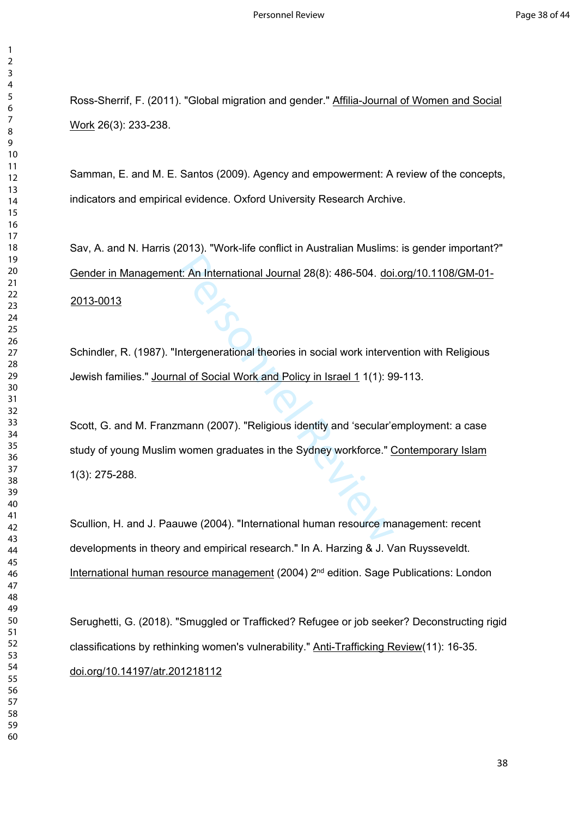Ross-Sherrif, F. (2011). "Global migration and gender." Affilia-Journal of Women and Social Work 26(3): 233-238.

Samman, E. and M. E. Santos (2009). Agency and empowerment: A review of the concepts, indicators and empirical evidence. Oxford University Research Archive.

Sav, A. and N. Harris (2013). "Work-life conflict in Australian Muslims: is gender important?" Gender in Management: An International Journal 28(8): 486-504. [doi.org/10.1108/GM-01-](https://doi.org/10.1108/GM-01-2013-0013) [2013-0013](https://doi.org/10.1108/GM-01-2013-0013)

Schindler, R. (1987). "Intergenerational theories in social work intervention with Religious Jewish families." Journal of Social Work and Policy in Israel 1 1(1): 99-113.

It: An International Journal 28(8): 486-504. doi<br>Intergenerational theories in social work interverse all of Social Work and Policy in Israel 1 1(1): 9<br>International Review of Social Work and Policy in Israel 1 1(1): 9<br>Int Scott, G. and M. Franzmann (2007). "Religious identity and 'secular'employment: a case study of young Muslim women graduates in the Sydney workforce." Contemporary Islam 1(3): 275-288.

Scullion, H. and J. Paauwe (2004). "International human resource management: recent developments in theory and empirical research." In A. Harzing & J. Van Ruysseveldt. International human resource management (2004) 2nd edition. Sage Publications: London

Serughetti, G. (2018). "Smuggled or Trafficked? Refugee or job seeker? Deconstructing rigid classifications by rethinking women's vulnerability." Anti-Trafficking Review(11): 16-35. [doi.org/10.14197/atr.201218112](https://doi.org/10.14197/atr.201218112)

 $\mathbf{1}$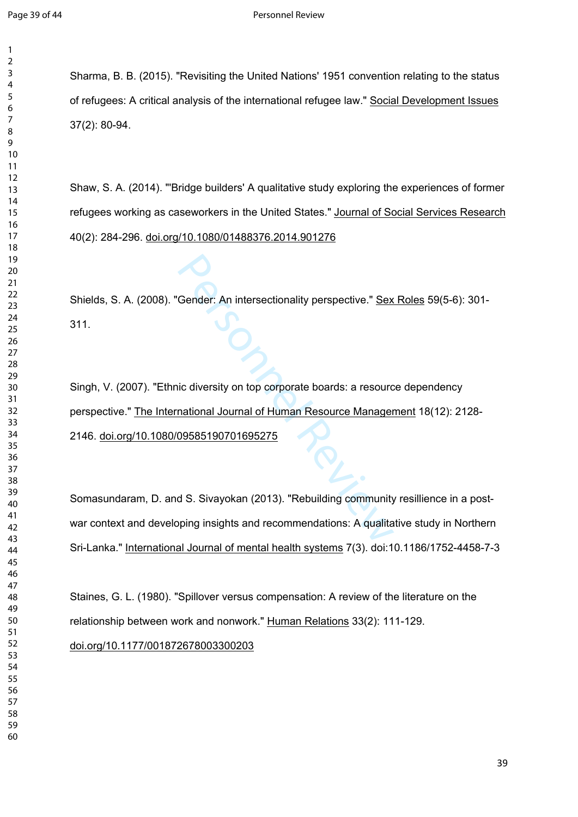$\mathbf{1}$  $\overline{2}$ 

Sharma, B. B. (2015). "Revisiting the United Nations' 1951 convention relating to the status of refugees: A critical analysis of the international refugee law." Social Development Issues 37(2): 80-94.

Shaw, S. A. (2014). "'Bridge builders' A qualitative study exploring the experiences of former refugees working as caseworkers in the United States." Journal of Social Services Research 40(2): 284-296. [doi.org/10.1080/01488376.2014.901276](https://doi.org/10.1080/01488376.2014.901276)

Shields, S. A. (2008). "Gender: An intersectionality perspective." Sex Roles 59(5-6): 301- 311.

Gender: An intersectionality perspective." Sex<br>
ic diversity on top corporate boards: a resource<br>
national Journal of Human Resource Manager<br>
09585190701695275<br>
d S. Sivayokan (2013). "Rebuilding community<br>
pping insights Singh, V. (2007). "Ethnic diversity on top corporate boards: a resource dependency perspective." The International Journal of Human Resource Management 18(12): 2128- 2146. [doi.org/10.1080/09585190701695275](https://doi.org/10.1080/09585190701695275)

Somasundaram, D. and S. Sivayokan (2013). "Rebuilding community resillience in a postwar context and developing insights and recommendations: A qualitative study in Northern Sri-Lanka." International Journal of mental health systems 7(3). doi:10.1186/1752-4458-7-3

Staines, G. L. (1980). "Spillover versus compensation: A review of the literature on the relationship between work and nonwork." Human Relations 33(2): 111-129.

[doi.org/10.1177/001872678003300203](https://doi.org/10.1177%2F001872678003300203)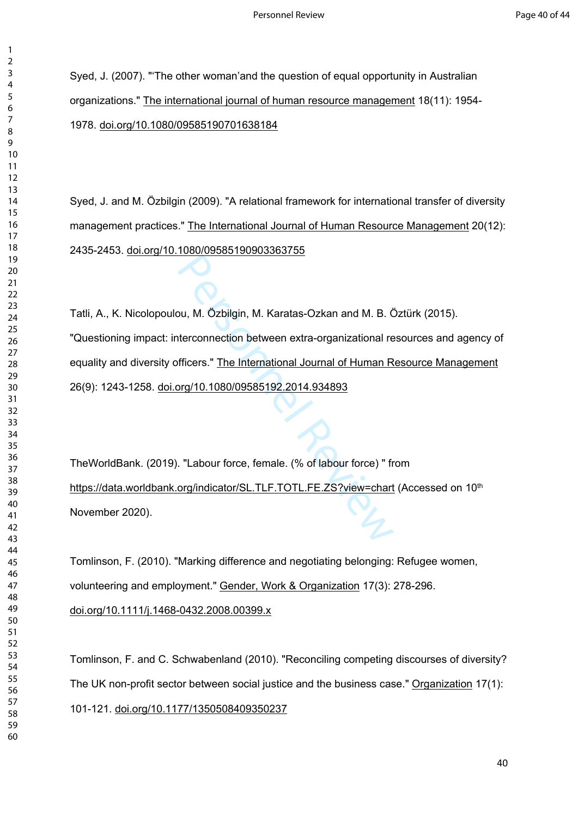Syed, J. (2007). "'The other woman'and the question of equal opportunity in Australian organizations." The international journal of human resource management 18(11): 1954- 1978. [doi.org/10.1080/09585190701638184](https://doi.org/10.1080/09585190701638184)

Syed, J. and M. Özbilgin (2009). "A relational framework for international transfer of diversity management practices." The International Journal of Human Resource Management 20(12): 2435-2453. [doi.org/10.1080/09585190903363755](https://doi.org/10.1080/09585190903363755)

Nu, M. Özbilgin, M. Karatas-Ozkan and M. B. Č<br>tercon[ne](https://doi.org/10.1080/09585192.2014.934893)ction between extra-organizational refficers." The International Journal of Human R<br>prg/10.1080/09585192.2014.934893<br>. "Labour force, female. (% of labour force) " fr<br>o Tatli, A., K. Nicolopoulou, M. Özbilgin, M. Karatas-Ozkan and M. B. Öztürk (2015). "Questioning impact: interconnection between extra-organizational resources and agency of equality and diversity officers." The International Journal of Human Resource Management 26(9): 1243-1258. doi.org/10.1080/09585192.2014.934893

TheWorldBank. (2019). "Labour force, female. (% of labour force) " from <https://data.worldbank.org/indicator/SL.TLF.TOTL.FE.ZS?view=chart>(Accessed on 10<sup>th</sup> November 2020).

Tomlinson, F. (2010). "Marking difference and negotiating belonging: Refugee women, volunteering and employment." Gender, Work & Organization 17(3): 278-296. [doi.org/10.1111/j.1468-0432.2008.00399.x](https://doi.org/10.1111/j.1468-0432.2008.00399.x)

Tomlinson, F. and C. Schwabenland (2010). "Reconciling competing discourses of diversity? The UK non-profit sector between social justice and the business case." Organization 17(1): 101-121. [doi.org/10.1177/1350508409350237](https://doi.org/10.1177%2F1350508409350237)

 $\mathbf{1}$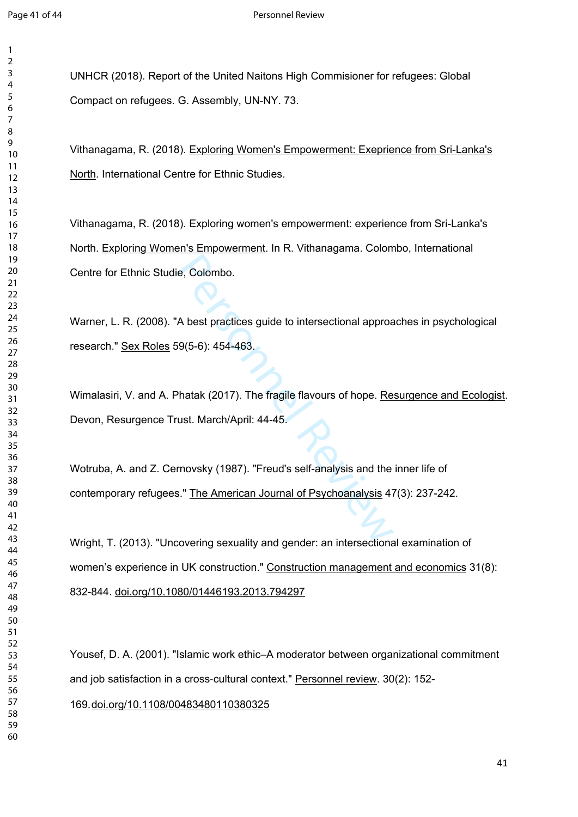$\mathbf{1}$  $\overline{2}$ 

UNHCR (2018). Report of the United Naitons High Commisioner for refugees: Global Compact on refugees. G. Assembly, UN-NY. 73.

Vithanagama, R. (2018). Exploring Women's Empowerment: Exeprience from Sri-Lanka's North. International Centre for Ethnic Studies.

Vithanagama, R. (2018). Exploring women's empowerment: experience from Sri-Lanka's North. Exploring Women's Empowerment. In R. Vithanagama. Colombo, International Centre for Ethnic Studie, Colombo.

Warner, L. R. (2008). "A best practices guide to intersectional approaches in psychological research." Sex Roles 59(5-6): 454-463.

e, Colombo.<br>
A best practices guide to intersectional appros<br>
9(5-6): 454-463.<br>
Phatak (2017). The fragile flavours of hope. <u>Re</u><br>
ust. March/April: 44-45.<br>
The March (1987). "Freud's self-analysis and the<br>
S." The America Wimalasiri, V. and A. Phatak (2017). The fragile flavours of hope. Resurgence and Ecologist. Devon, Resurgence Trust. March/April: 44-45.

Wotruba, A. and Z. Cernovsky (1987). "Freud's self-analysis and the inner life of contemporary refugees." The American Journal of Psychoanalysis 47(3): 237-242.

Wright, T. (2013). "Uncovering sexuality and gender: an intersectional examination of women's experience in UK construction." Construction management and economics 31(8): 832-844. [doi.org/10.1080/01446193.2013.794297](https://doi.org/10.1080/01446193.2013.794297)

Yousef, D. A. (2001). "Islamic work ethic–A moderator between organizational commitment and job satisfaction in a cross-cultural context." Personnel review. 30(2): 152-

[.doi.org/10.1108/00483480110380325](https://doi.org/10.1108/00483480110380325)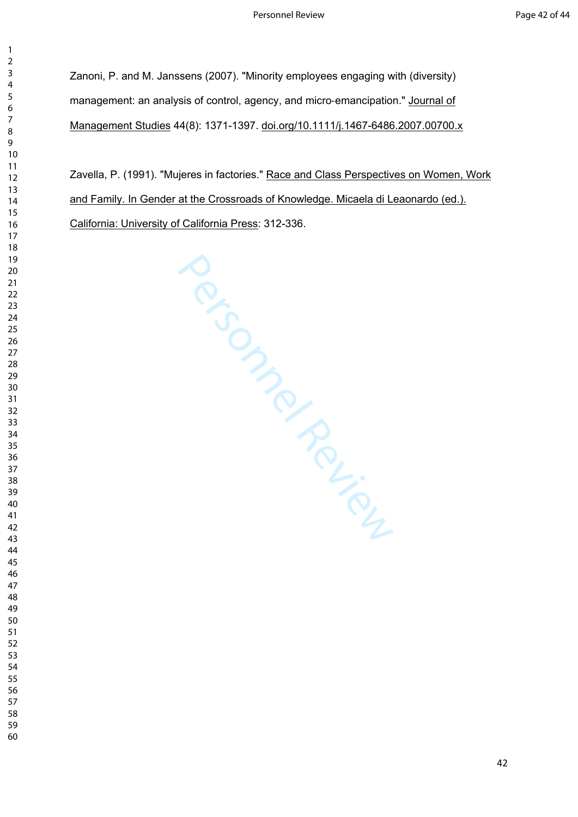Zanoni, P. and M. Janssens (2007). "Minority employees engaging with (diversity) management: an analysis of control, agency, and micro-emancipation." Journal of Management Studies 44(8): 1371-1397. [doi.org/10.1111/j.1467-6486.2007.00700.x](https://doi.org/10.1111/j.1467-6486.2007.00700.x)

Zavella, P. (1991). "Mujeres in factories." Race and Class Perspectives on Women, Work and Family. In Gender at the Crossroads of Knowledge. Micaela di Leaonardo (ed.). California: University of California Press: 312-336.

SCONDING PRESS MONTENGAL CONTROLL

 $\mathbf{1}$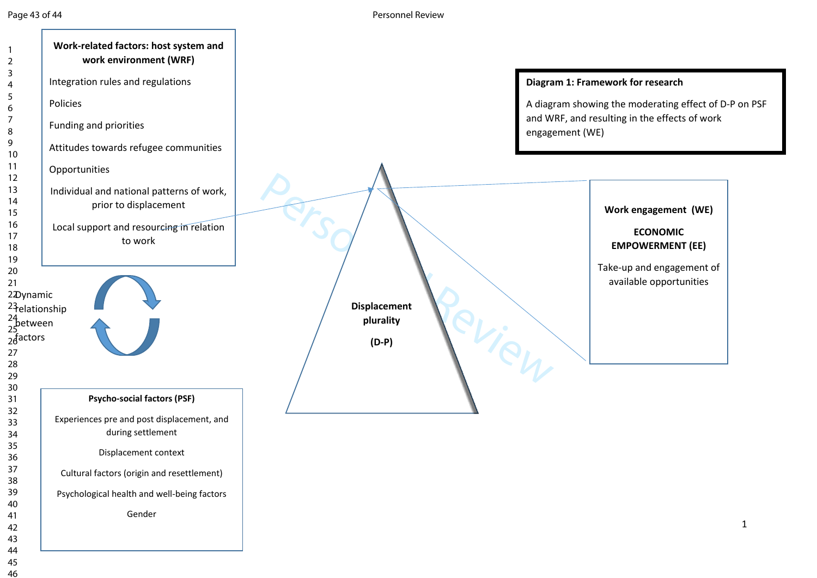Page 43 of 44 Personnel Review